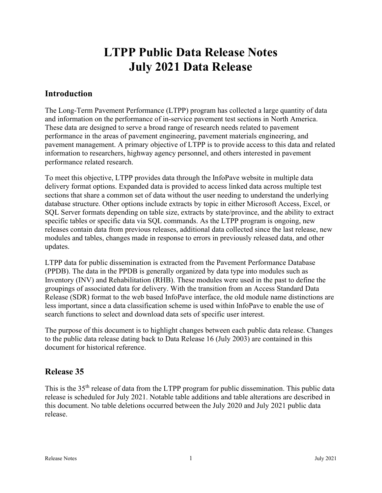# LTPP Public Data Release Notes July 2021 Data Release

# Introduction

The Long-Term Pavement Performance (LTPP) program has collected a large quantity of data and information on the performance of in-service pavement test sections in North America. These data are designed to serve a broad range of research needs related to pavement performance in the areas of pavement engineering, pavement materials engineering, and pavement management. A primary objective of LTPP is to provide access to this data and related information to researchers, highway agency personnel, and others interested in pavement performance related research.

To meet this objective, LTPP provides data through the InfoPave website in multiple data delivery format options. Expanded data is provided to access linked data across multiple test sections that share a common set of data without the user needing to understand the underlying database structure. Other options include extracts by topic in either Microsoft Access, Excel, or SQL Server formats depending on table size, extracts by state/province, and the ability to extract specific tables or specific data via SQL commands. As the LTPP program is ongoing, new releases contain data from previous releases, additional data collected since the last release, new modules and tables, changes made in response to errors in previously released data, and other updates.

LTPP data for public dissemination is extracted from the Pavement Performance Database (PPDB). The data in the PPDB is generally organized by data type into modules such as Inventory (INV) and Rehabilitation (RHB). These modules were used in the past to define the groupings of associated data for delivery. With the transition from an Access Standard Data Release (SDR) format to the web based InfoPave interface, the old module name distinctions are less important, since a data classification scheme is used within InfoPave to enable the use of search functions to select and download data sets of specific user interest.

The purpose of this document is to highlight changes between each public data release. Changes to the public data release dating back to Data Release 16 (July 2003) are contained in this document for historical reference.

# Release 35

This is the 35<sup>th</sup> release of data from the LTPP program for public dissemination. This public data release is scheduled for July 2021. Notable table additions and table alterations are described in this document. No table deletions occurred between the July 2020 and July 2021 public data release.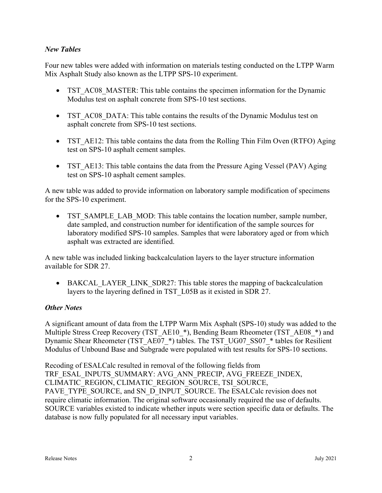### New Tables

Four new tables were added with information on materials testing conducted on the LTPP Warm Mix Asphalt Study also known as the LTPP SPS-10 experiment.

- TST AC08 MASTER: This table contains the specimen information for the Dynamic Modulus test on asphalt concrete from SPS-10 test sections.
- TST AC08 DATA: This table contains the results of the Dynamic Modulus test on asphalt concrete from SPS-10 test sections.
- TST AE12: This table contains the data from the Rolling Thin Film Oven (RTFO) Aging test on SPS-10 asphalt cement samples.
- TST AE13: This table contains the data from the Pressure Aging Vessel (PAV) Aging test on SPS-10 asphalt cement samples.

A new table was added to provide information on laboratory sample modification of specimens for the SPS-10 experiment.

• TST SAMPLE LAB MOD: This table contains the location number, sample number, date sampled, and construction number for identification of the sample sources for laboratory modified SPS-10 samples. Samples that were laboratory aged or from which asphalt was extracted are identified.

A new table was included linking backcalculation layers to the layer structure information available for SDR 27.

• BAKCAL LAYER LINK SDR27: This table stores the mapping of backcalculation layers to the layering defined in TST\_L05B as it existed in SDR 27.

### Other Notes

A significant amount of data from the LTPP Warm Mix Asphalt (SPS-10) study was added to the Multiple Stress Creep Recovery (TST\_AE10\_\*), Bending Beam Rheometer (TST\_AE08\_\*) and Dynamic Shear Rheometer (TST\_AE07\_\*) tables. The TST\_UG07\_SS07\_\* tables for Resilient Modulus of Unbound Base and Subgrade were populated with test results for SPS-10 sections.

Recoding of ESALCalc resulted in removal of the following fields from TRF\_ESAL\_INPUTS\_SUMMARY: AVG\_ANN\_PRECIP, AVG\_FREEZE\_INDEX, CLIMATIC\_REGION, CLIMATIC\_REGION\_SOURCE, TSI\_SOURCE, PAVE\_TYPE\_SOURCE, and SN\_D\_INPUT\_SOURCE. The ESALCalc revision does not require climatic information. The original software occasionally required the use of defaults. SOURCE variables existed to indicate whether inputs were section specific data or defaults. The database is now fully populated for all necessary input variables.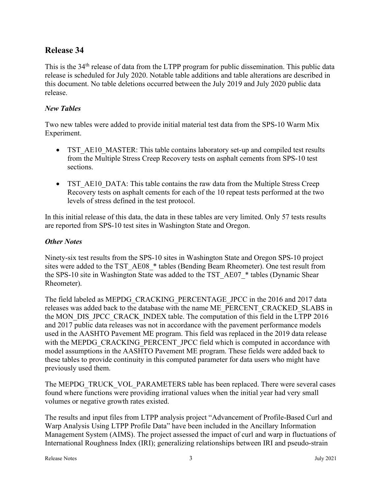# Release 34

This is the 34<sup>th</sup> release of data from the LTPP program for public dissemination. This public data release is scheduled for July 2020. Notable table additions and table alterations are described in this document. No table deletions occurred between the July 2019 and July 2020 public data release.

#### New Tables

Two new tables were added to provide initial material test data from the SPS-10 Warm Mix Experiment.

- TST\_AE10\_MASTER: This table contains laboratory set-up and compiled test results from the Multiple Stress Creep Recovery tests on asphalt cements from SPS-10 test sections.
- TST AE10 DATA: This table contains the raw data from the Multiple Stress Creep Recovery tests on asphalt cements for each of the 10 repeat tests performed at the two levels of stress defined in the test protocol.

In this initial release of this data, the data in these tables are very limited. Only 57 tests results are reported from SPS-10 test sites in Washington State and Oregon.

#### **Other Notes**

Ninety-six test results from the SPS-10 sites in Washington State and Oregon SPS-10 project sites were added to the TST\_AE08\_\* tables (Bending Beam Rheometer). One test result from the SPS-10 site in Washington State was added to the TST\_AE07\_\* tables (Dynamic Shear Rheometer).

The field labeled as MEPDG\_CRACKING\_PERCENTAGE\_JPCC in the 2016 and 2017 data releases was added back to the database with the name ME\_PERCENT\_CRACKED\_SLABS in the MON\_DIS\_JPCC\_CRACK\_INDEX table. The computation of this field in the LTPP 2016 and 2017 public data releases was not in accordance with the pavement performance models used in the AASHTO Pavement ME program. This field was replaced in the 2019 data release with the MEPDG\_CRACKING\_PERCENT\_JPCC field which is computed in accordance with model assumptions in the AASHTO Pavement ME program. These fields were added back to these tables to provide continuity in this computed parameter for data users who might have previously used them.

The MEPDG\_TRUCK\_VOL\_PARAMETERS table has been replaced. There were several cases found where functions were providing irrational values when the initial year had very small volumes or negative growth rates existed.

The results and input files from LTPP analysis project "Advancement of Profile-Based Curl and Warp Analysis Using LTPP Profile Data" have been included in the Ancillary Information Management System (AIMS). The project assessed the impact of curl and warp in fluctuations of International Roughness Index (IRI); generalizing relationships between IRI and pseudo-strain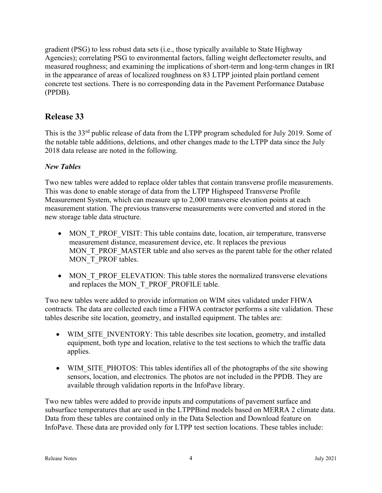gradient (PSG) to less robust data sets (i.e., those typically available to State Highway Agencies); correlating PSG to environmental factors, falling weight deflectometer results, and measured roughness; and examining the implications of short-term and long-term changes in IRI in the appearance of areas of localized roughness on 83 LTPP jointed plain portland cement concrete test sections. There is no corresponding data in the Pavement Performance Database (PPDB).

# Release 33

This is the 33<sup>rd</sup> public release of data from the LTPP program scheduled for July 2019. Some of the notable table additions, deletions, and other changes made to the LTPP data since the July 2018 data release are noted in the following.

### New Tables

Two new tables were added to replace older tables that contain transverse profile measurements. This was done to enable storage of data from the LTPP Highspeed Transverse Profile Measurement System, which can measure up to 2,000 transverse elevation points at each measurement station. The previous transverse measurements were converted and stored in the new storage table data structure.

- MON T\_PROF\_VISIT: This table contains date, location, air temperature, transverse measurement distance, measurement device, etc. It replaces the previous MON\_T\_PROF\_MASTER table and also serves as the parent table for the other related MON T\_PROF tables.
- MON T\_PROF\_ELEVATION: This table stores the normalized transverse elevations and replaces the MON\_T\_PROF\_PROFILE table.

Two new tables were added to provide information on WIM sites validated under FHWA contracts. The data are collected each time a FHWA contractor performs a site validation. These tables describe site location, geometry, and installed equipment. The tables are:

- WIM\_SITE\_INVENTORY: This table describes site location, geometry, and installed equipment, both type and location, relative to the test sections to which the traffic data applies.
- WIM\_SITE\_PHOTOS: This tables identifies all of the photographs of the site showing sensors, location, and electronics. The photos are not included in the PPDB. They are available through validation reports in the InfoPave library.

Two new tables were added to provide inputs and computations of pavement surface and subsurface temperatures that are used in the LTPPBind models based on MERRA 2 climate data. Data from these tables are contained only in the Data Selection and Download feature on InfoPave. These data are provided only for LTPP test section locations. These tables include: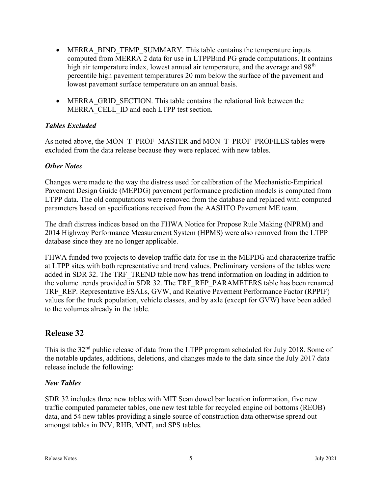- MERRA BIND TEMP SUMMARY. This table contains the temperature inputs computed from MERRA 2 data for use in LTPPBind PG grade computations. It contains high air temperature index, lowest annual air temperature, and the average and  $98<sup>th</sup>$ percentile high pavement temperatures 20 mm below the surface of the pavement and lowest pavement surface temperature on an annual basis.
- MERRA\_GRID\_SECTION. This table contains the relational link between the MERRA CELL ID and each LTPP test section.

### Tables Excluded

As noted above, the MON\_T\_PROF\_MASTER and MON\_T\_PROF\_PROFILES tables were excluded from the data release because they were replaced with new tables.

#### **Other Notes**

Changes were made to the way the distress used for calibration of the Mechanistic-Empirical Pavement Design Guide (MEPDG) pavement performance prediction models is computed from LTPP data. The old computations were removed from the database and replaced with computed parameters based on specifications received from the AASHTO Pavement ME team.

The draft distress indices based on the FHWA Notice for Propose Rule Making (NPRM) and 2014 Highway Performance Measurement System (HPMS) were also removed from the LTPP database since they are no longer applicable.

FHWA funded two projects to develop traffic data for use in the MEPDG and characterize traffic at LTPP sites with both representative and trend values. Preliminary versions of the tables were added in SDR 32. The TRF\_TREND table now has trend information on loading in addition to the volume trends provided in SDR 32. The TRF\_REP\_PARAMETERS table has been renamed TRF\_REP. Representative ESALs, GVW, and Relative Pavement Performance Factor (RPPIF) values for the truck population, vehicle classes, and by axle (except for GVW) have been added to the volumes already in the table.

# Release 32

This is the 32<sup>nd</sup> public release of data from the LTPP program scheduled for July 2018. Some of the notable updates, additions, deletions, and changes made to the data since the July 2017 data release include the following:

### New Tables

SDR 32 includes three new tables with MIT Scan dowel bar location information, five new traffic computed parameter tables, one new test table for recycled engine oil bottoms (REOB) data, and 54 new tables providing a single source of construction data otherwise spread out amongst tables in INV, RHB, MNT, and SPS tables.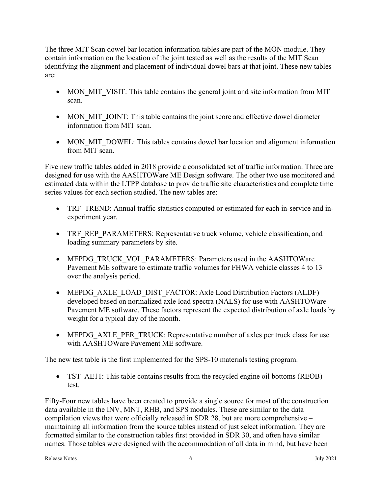The three MIT Scan dowel bar location information tables are part of the MON module. They contain information on the location of the joint tested as well as the results of the MIT Scan identifying the alignment and placement of individual dowel bars at that joint. These new tables are:

- MON MIT VISIT: This table contains the general joint and site information from MIT scan.
- MON MIT JOINT: This table contains the joint score and effective dowel diameter information from MIT scan.
- MON MIT DOWEL: This tables contains dowel bar location and alignment information from MIT scan.

Five new traffic tables added in 2018 provide a consolidated set of traffic information. Three are designed for use with the AASHTOWare ME Design software. The other two use monitored and estimated data within the LTPP database to provide traffic site characteristics and complete time series values for each section studied. The new tables are:

- TRF TREND: Annual traffic statistics computed or estimated for each in-service and inexperiment year.
- TRF REP PARAMETERS: Representative truck volume, vehicle classification, and loading summary parameters by site.
- MEPDG\_TRUCK\_VOL\_PARAMETERS: Parameters used in the AASHTOWare Pavement ME software to estimate traffic volumes for FHWA vehicle classes 4 to 13 over the analysis period.
- MEPDG AXLE LOAD DIST FACTOR: Axle Load Distribution Factors (ALDF) developed based on normalized axle load spectra (NALS) for use with AASHTOWare Pavement ME software. These factors represent the expected distribution of axle loads by weight for a typical day of the month.
- MEPDG\_AXLE\_PER\_TRUCK: Representative number of axles per truck class for use with AASHTOWare Pavement ME software.

The new test table is the first implemented for the SPS-10 materials testing program.

• TST AE11: This table contains results from the recycled engine oil bottoms (REOB) test.

Fifty-Four new tables have been created to provide a single source for most of the construction data available in the INV, MNT, RHB, and SPS modules. These are similar to the data compilation views that were officially released in SDR 28, but are more comprehensive – maintaining all information from the source tables instead of just select information. They are formatted similar to the construction tables first provided in SDR 30, and often have similar names. Those tables were designed with the accommodation of all data in mind, but have been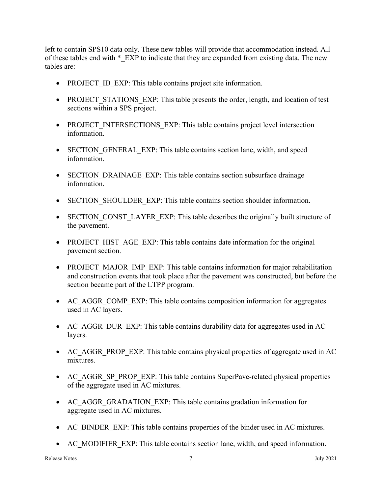left to contain SPS10 data only. These new tables will provide that accommodation instead. All of these tables end with \* EXP to indicate that they are expanded from existing data. The new tables are:

- PROJECT ID EXP: This table contains project site information.
- PROJECT STATIONS EXP: This table presents the order, length, and location of test sections within a SPS project.
- PROJECT\_INTERSECTIONS\_EXP: This table contains project level intersection information.
- SECTION GENERAL EXP: This table contains section lane, width, and speed information.
- SECTION DRAINAGE EXP: This table contains section subsurface drainage information.
- SECTION SHOULDER EXP: This table contains section shoulder information.
- SECTION CONST LAYER EXP: This table describes the originally built structure of the pavement.
- PROJECT HIST AGE EXP: This table contains date information for the original pavement section.
- PROJECT MAJOR IMP EXP: This table contains information for major rehabilitation and construction events that took place after the pavement was constructed, but before the section became part of the LTPP program.
- AC AGGR COMP EXP: This table contains composition information for aggregates used in AC layers.
- AC AGGR DUR EXP: This table contains durability data for aggregates used in AC layers.
- AC AGGR PROP EXP: This table contains physical properties of aggregate used in AC mixtures.
- AC\_AGGR\_SP\_PROP\_EXP: This table contains SuperPave-related physical properties of the aggregate used in AC mixtures.
- AC AGGR GRADATION EXP: This table contains gradation information for aggregate used in AC mixtures.
- AC\_BINDER\_EXP: This table contains properties of the binder used in AC mixtures.
- AC MODIFIER EXP: This table contains section lane, width, and speed information.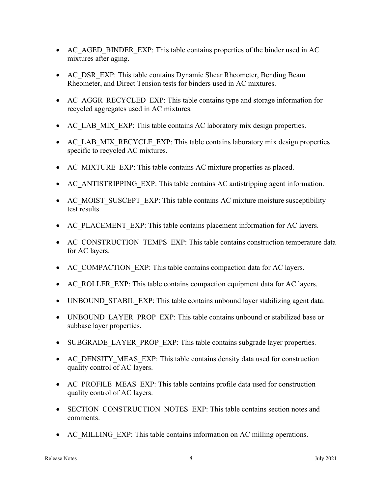- AC AGED BINDER EXP: This table contains properties of the binder used in AC mixtures after aging.
- AC DSR EXP: This table contains Dynamic Shear Rheometer, Bending Beam Rheometer, and Direct Tension tests for binders used in AC mixtures.
- AC AGGR RECYCLED EXP: This table contains type and storage information for recycled aggregates used in AC mixtures.
- AC\_LAB\_MIX\_EXP: This table contains AC laboratory mix design properties.
- AC\_LAB\_MIX\_RECYCLE\_EXP: This table contains laboratory mix design properties specific to recycled AC mixtures.
- AC MIXTURE EXP: This table contains AC mixture properties as placed.
- AC ANTISTRIPPING EXP: This table contains AC antistripping agent information.
- AC\_MOIST\_SUSCEPT\_EXP: This table contains AC mixture moisture susceptibility test results.
- AC\_PLACEMENT\_EXP: This table contains placement information for AC layers.
- AC\_CONSTRUCTION\_TEMPS\_EXP: This table contains construction temperature data for AC layers.
- AC\_COMPACTION\_EXP: This table contains compaction data for AC layers.
- AC ROLLER EXP: This table contains compaction equipment data for AC layers.
- UNBOUND STABIL EXP: This table contains unbound layer stabilizing agent data.
- UNBOUND LAYER PROP EXP: This table contains unbound or stabilized base or subbase layer properties.
- SUBGRADE\_LAYER\_PROP\_EXP: This table contains subgrade layer properties.
- AC DENSITY MEAS EXP: This table contains density data used for construction quality control of AC layers.
- AC PROFILE MEAS EXP: This table contains profile data used for construction quality control of AC layers.
- SECTION CONSTRUCTION NOTES EXP: This table contains section notes and comments.
- AC\_MILLING\_EXP: This table contains information on AC milling operations.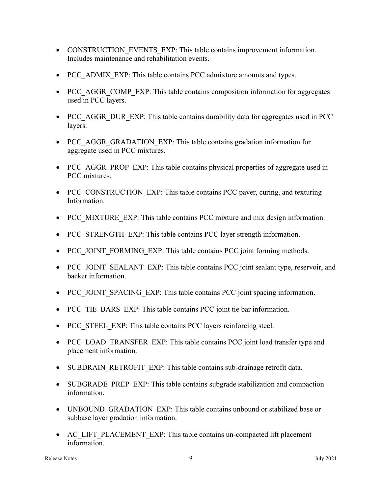- CONSTRUCTION EVENTS EXP: This table contains improvement information. Includes maintenance and rehabilitation events.
- PCC ADMIX EXP: This table contains PCC admixture amounts and types.
- PCC AGGR COMP EXP: This table contains composition information for aggregates used in PCC layers.
- PCC\_AGGR\_DUR\_EXP: This table contains durability data for aggregates used in PCC layers.
- PCC AGGR GRADATION EXP: This table contains gradation information for aggregate used in PCC mixtures.
- PCC AGGR PROP EXP: This table contains physical properties of aggregate used in PCC mixtures.
- PCC\_CONSTRUCTION\_EXP: This table contains PCC paver, curing, and texturing Information.
- PCC MIXTURE EXP: This table contains PCC mixture and mix design information.
- PCC STRENGTH EXP: This table contains PCC layer strength information.
- PCC JOINT FORMING EXP: This table contains PCC joint forming methods.
- PCC\_JOINT\_SEALANT\_EXP: This table contains PCC joint sealant type, reservoir, and backer information.
- PCC JOINT SPACING EXP: This table contains PCC joint spacing information.
- PCC TIE BARS EXP: This table contains PCC joint tie bar information.
- PCC STEEL EXP: This table contains PCC layers reinforcing steel.
- PCC\_LOAD\_TRANSFER\_EXP: This table contains PCC joint load transfer type and placement information.
- SUBDRAIN\_RETROFIT\_EXP: This table contains sub-drainage retrofit data.
- SUBGRADE\_PREP\_EXP: This table contains subgrade stabilization and compaction information.
- UNBOUND GRADATION EXP: This table contains unbound or stabilized base or subbase layer gradation information.
- AC\_LIFT\_PLACEMENT\_EXP: This table contains un-compacted lift placement information.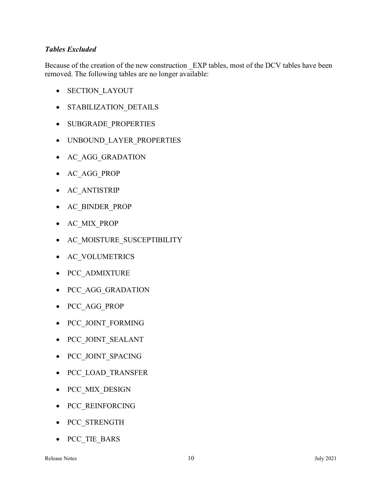### Tables Excluded

Because of the creation of the new construction EXP tables, most of the DCV tables have been removed. The following tables are no longer available:

- SECTION LAYOUT
- STABILIZATION DETAILS
- SUBGRADE PROPERTIES
- UNBOUND LAYER PROPERTIES
- AC AGG GRADATION
- AC AGG\_PROP
- AC\_ANTISTRIP
- AC\_BINDER\_PROP
- AC MIX PROP
- AC MOISTURE SUSCEPTIBILITY
- AC\_VOLUMETRICS
- PCC ADMIXTURE
- PCC\_AGG\_GRADATION
- PCC AGG PROP
- PCC JOINT FORMING
- PCC JOINT SEALANT
- PCC\_JOINT\_SPACING
- PCC LOAD TRANSFER
- PCC\_MIX\_DESIGN
- PCC\_REINFORCING
- PCC STRENGTH
- PCC\_TIE\_BARS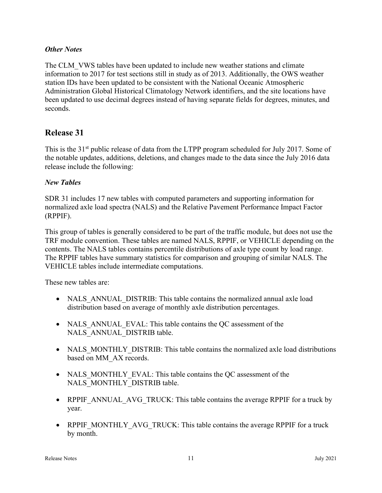#### **Other Notes**

The CLM\_VWS tables have been updated to include new weather stations and climate information to 2017 for test sections still in study as of 2013. Additionally, the OWS weather station IDs have been updated to be consistent with the National Oceanic Atmospheric Administration Global Historical Climatology Network identifiers, and the site locations have been updated to use decimal degrees instead of having separate fields for degrees, minutes, and seconds.

# Release 31

This is the 31<sup>st</sup> public release of data from the LTPP program scheduled for July 2017. Some of the notable updates, additions, deletions, and changes made to the data since the July 2016 data release include the following:

#### New Tables

SDR 31 includes 17 new tables with computed parameters and supporting information for normalized axle load spectra (NALS) and the Relative Pavement Performance Impact Factor (RPPIF).

This group of tables is generally considered to be part of the traffic module, but does not use the TRF module convention. These tables are named NALS, RPPIF, or VEHICLE depending on the contents. The NALS tables contains percentile distributions of axle type count by load range. The RPPIF tables have summary statistics for comparison and grouping of similar NALS. The VEHICLE tables include intermediate computations.

These new tables are:

- NALS ANNUAL DISTRIB: This table contains the normalized annual axle load distribution based on average of monthly axle distribution percentages.
- NALS ANNUAL EVAL: This table contains the QC assessment of the NALS\_ANNUAL\_DISTRIB table.
- NALS MONTHLY DISTRIB: This table contains the normalized axle load distributions based on MM\_AX records.
- NALS MONTHLY EVAL: This table contains the QC assessment of the NALS\_MONTHLY\_DISTRIB table.
- RPPIF\_ANNUAL\_AVG\_TRUCK: This table contains the average RPPIF for a truck by year.
- RPPIF\_MONTHLY\_AVG\_TRUCK: This table contains the average RPPIF for a truck by month.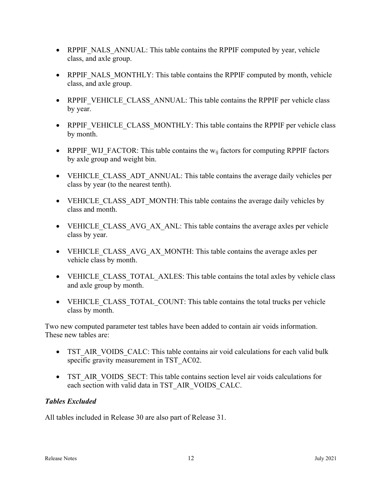- RPPIF NALS ANNUAL: This table contains the RPPIF computed by year, vehicle class, and axle group.
- RPPIF NALS MONTHLY: This table contains the RPPIF computed by month, vehicle class, and axle group.
- RPPIF VEHICLE CLASS ANNUAL: This table contains the RPPIF per vehicle class by year.
- RPPIF VEHICLE CLASS MONTHLY: This table contains the RPPIF per vehicle class by month.
- RPPIF WIJ FACTOR: This table contains the  $w_{ij}$  factors for computing RPPIF factors by axle group and weight bin.
- VEHICLE CLASS ADT ANNUAL: This table contains the average daily vehicles per class by year (to the nearest tenth).
- VEHICLE CLASS ADT MONTH: This table contains the average daily vehicles by class and month.
- VEHICLE CLASS AVG AX ANL: This table contains the average axles per vehicle class by year.
- VEHICLE CLASS AVG AX MONTH: This table contains the average axles per vehicle class by month.
- VEHICLE CLASS TOTAL AXLES: This table contains the total axles by vehicle class and axle group by month.
- VEHICLE CLASS TOTAL COUNT: This table contains the total trucks per vehicle class by month.

Two new computed parameter test tables have been added to contain air voids information. These new tables are:

- TST\_AIR\_VOIDS\_CALC: This table contains air void calculations for each valid bulk specific gravity measurement in TST\_AC02.
- TST AIR VOIDS SECT: This table contains section level air voids calculations for each section with valid data in TST\_AIR\_VOIDS\_CALC.

# Tables Excluded

All tables included in Release 30 are also part of Release 31.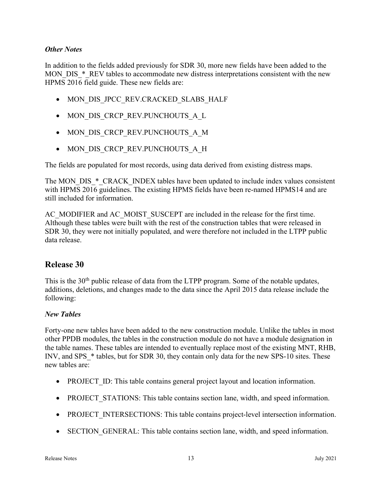#### **Other Notes**

In addition to the fields added previously for SDR 30, more new fields have been added to the MON DIS  $*$  REV tables to accommodate new distress interpretations consistent with the new HPMS 2016 field guide. These new fields are:

- $\bullet$  MON DIS JPCC REV.CRACKED SLABS HALF
- MON DIS CRCP REV.PUNCHOUTS A L
- MON DIS CRCP REV.PUNCHOUTS A M
- MON DIS CRCP REV.PUNCHOUTS A H

The fields are populated for most records, using data derived from existing distress maps.

The MON\_DIS\_\*\_CRACK\_INDEX tables have been updated to include index values consistent with HPMS 2016 guidelines. The existing HPMS fields have been re-named HPMS14 and are still included for information.

AC\_MODIFIER and AC\_MOIST\_SUSCEPT are included in the release for the first time. Although these tables were built with the rest of the construction tables that were released in SDR 30, they were not initially populated, and were therefore not included in the LTPP public data release.

# Release 30

This is the 30<sup>th</sup> public release of data from the LTPP program. Some of the notable updates, additions, deletions, and changes made to the data since the April 2015 data release include the following:

#### New Tables

Forty-one new tables have been added to the new construction module. Unlike the tables in most other PPDB modules, the tables in the construction module do not have a module designation in the table names. These tables are intended to eventually replace most of the existing MNT, RHB, INV, and SPS  $*$  tables, but for SDR 30, they contain only data for the new SPS-10 sites. These new tables are:

- PROJECT ID: This table contains general project layout and location information.
- PROJECT STATIONS: This table contains section lane, width, and speed information.
- PROJECT INTERSECTIONS: This table contains project-level intersection information.
- SECTION GENERAL: This table contains section lane, width, and speed information.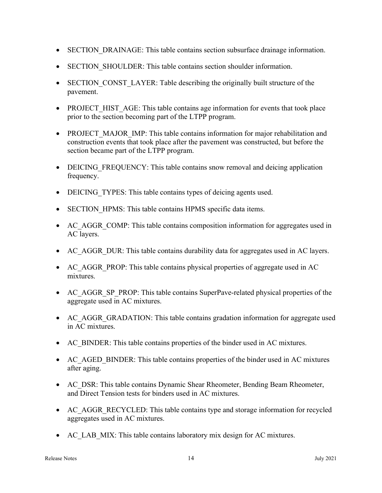- SECTION DRAINAGE: This table contains section subsurface drainage information.
- SECTION SHOULDER: This table contains section shoulder information.
- SECTION CONST LAYER: Table describing the originally built structure of the pavement.
- PROJECT HIST AGE: This table contains age information for events that took place prior to the section becoming part of the LTPP program.
- PROJECT MAJOR IMP: This table contains information for major rehabilitation and construction events that took place after the pavement was constructed, but before the section became part of the LTPP program.
- DEICING FREQUENCY: This table contains snow removal and deicing application frequency.
- DEICING TYPES: This table contains types of deicing agents used.
- SECTION HPMS: This table contains HPMS specific data items.
- AC\_AGGR\_COMP: This table contains composition information for aggregates used in AC layers.
- AC AGGR DUR: This table contains durability data for aggregates used in AC layers.
- AC AGGR PROP: This table contains physical properties of aggregate used in AC mixtures.
- AC\_AGGR\_SP\_PROP: This table contains SuperPave-related physical properties of the aggregate used in AC mixtures.
- AC AGGR GRADATION: This table contains gradation information for aggregate used in AC mixtures.
- AC\_BINDER: This table contains properties of the binder used in AC mixtures.
- AC AGED BINDER: This table contains properties of the binder used in AC mixtures after aging.
- AC\_DSR: This table contains Dynamic Shear Rheometer, Bending Beam Rheometer, and Direct Tension tests for binders used in AC mixtures.
- AC AGGR RECYCLED: This table contains type and storage information for recycled aggregates used in AC mixtures.
- AC\_LAB\_MIX: This table contains laboratory mix design for AC mixtures.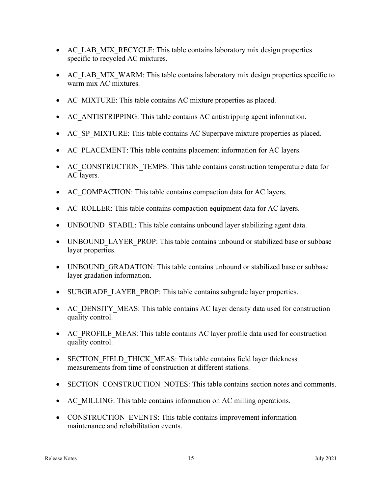- AC\_LAB\_MIX\_RECYCLE: This table contains laboratory mix design properties specific to recycled AC mixtures.
- AC\_LAB\_MIX\_WARM: This table contains laboratory mix design properties specific to warm mix AC mixtures.
- AC MIXTURE: This table contains AC mixture properties as placed.
- AC\_ANTISTRIPPING: This table contains AC antistripping agent information.
- AC SP MIXTURE: This table contains AC Superpave mixture properties as placed.
- AC PLACEMENT: This table contains placement information for AC layers.
- AC\_CONSTRUCTION\_TEMPS: This table contains construction temperature data for AC layers.
- AC\_COMPACTION: This table contains compaction data for AC layers.
- AC ROLLER: This table contains compaction equipment data for AC layers.
- UNBOUND STABIL: This table contains unbound layer stabilizing agent data.
- UNBOUND LAYER PROP: This table contains unbound or stabilized base or subbase layer properties.
- UNBOUND GRADATION: This table contains unbound or stabilized base or subbase layer gradation information.
- SUBGRADE LAYER PROP: This table contains subgrade layer properties.
- AC DENSITY MEAS: This table contains AC layer density data used for construction quality control.
- AC PROFILE MEAS: This table contains AC layer profile data used for construction quality control.
- SECTION FIELD THICK MEAS: This table contains field layer thickness measurements from time of construction at different stations.
- SECTION CONSTRUCTION NOTES: This table contains section notes and comments.
- AC MILLING: This table contains information on AC milling operations.
- CONSTRUCTION EVENTS: This table contains improvement information maintenance and rehabilitation events.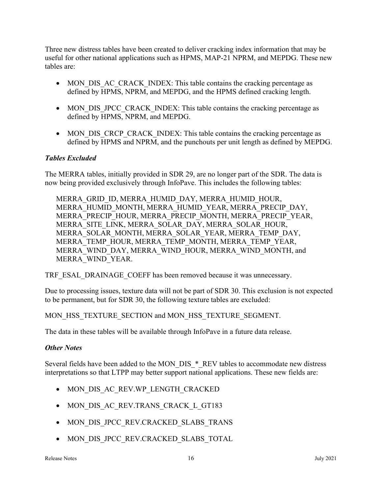Three new distress tables have been created to deliver cracking index information that may be useful for other national applications such as HPMS, MAP-21 NPRM, and MEPDG. These new tables are:

- MON DIS AC CRACK INDEX: This table contains the cracking percentage as defined by HPMS, NPRM, and MEPDG, and the HPMS defined cracking length.
- MON DIS JPCC CRACK INDEX: This table contains the cracking percentage as defined by HPMS, NPRM, and MEPDG.
- MON DIS CRCP CRACK INDEX: This table contains the cracking percentage as defined by HPMS and NPRM, and the punchouts per unit length as defined by MEPDG.

### Tables Excluded

The MERRA tables, initially provided in SDR 29, are no longer part of the SDR. The data is now being provided exclusively through InfoPave. This includes the following tables:

MERRA\_GRID\_ID, MERRA\_HUMID\_DAY, MERRA\_HUMID\_HOUR, MERRA\_HUMID\_MONTH, MERRA\_HUMID\_YEAR, MERRA\_PRECIP\_DAY, MERRA\_PRECIP\_HOUR, MERRA\_PRECIP\_MONTH, MERRA\_PRECIP\_YEAR, MERRA\_SITE\_LINK, MERRA\_SOLAR\_DAY, MERRA\_SOLAR\_HOUR, MERRA\_SOLAR\_MONTH, MERRA\_SOLAR\_YEAR, MERRA\_TEMP\_DAY, MERRA\_TEMP\_HOUR, MERRA\_TEMP\_MONTH, MERRA\_TEMP\_YEAR, MERRA\_WIND\_DAY, MERRA\_WIND\_HOUR, MERRA\_WIND\_MONTH, and MERRA\_WIND\_YEAR.

TRF\_ESAL\_DRAINAGE\_COEFF has been removed because it was unnecessary.

Due to processing issues, texture data will not be part of SDR 30. This exclusion is not expected to be permanent, but for SDR 30, the following texture tables are excluded:

MON HSS TEXTURE SECTION and MON HSS TEXTURE SEGMENT.

The data in these tables will be available through InfoPave in a future data release.

### **Other Notes**

Several fields have been added to the MON\_DIS\_\*\_REV tables to accommodate new distress interpretations so that LTPP may better support national applications. These new fields are:

- MON\_DIS\_AC\_REV.WP\_LENGTH\_CRACKED
- MON DIS AC REV.TRANS CRACK L GT183
- $\bullet$  MON DIS JPCC REV.CRACKED SLABS TRANS
- $\bullet$  MON DIS JPCC REV.CRACKED SLABS TOTAL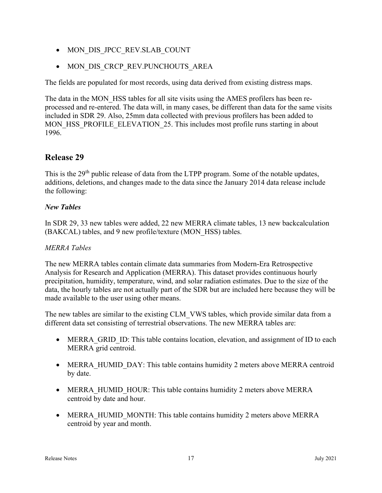- MON DIS JPCC REV.SLAB COUNT
- MON DIS CRCP REV.PUNCHOUTS AREA

The fields are populated for most records, using data derived from existing distress maps.

The data in the MON HSS tables for all site visits using the AMES profilers has been reprocessed and re-entered. The data will, in many cases, be different than data for the same visits included in SDR 29. Also, 25mm data collected with previous profilers has been added to MON HSS PROFILE ELEVATION 25. This includes most profile runs starting in about 1996.

# Release 29

This is the  $29<sup>th</sup>$  public release of data from the LTPP program. Some of the notable updates, additions, deletions, and changes made to the data since the January 2014 data release include the following:

### New Tables

In SDR 29, 33 new tables were added, 22 new MERRA climate tables, 13 new backcalculation (BAKCAL) tables, and 9 new profile/texture (MON\_HSS) tables.

### MERRA Tables

The new MERRA tables contain climate data summaries from Modern-Era Retrospective Analysis for Research and Application (MERRA). This dataset provides continuous hourly precipitation, humidity, temperature, wind, and solar radiation estimates. Due to the size of the data, the hourly tables are not actually part of the SDR but are included here because they will be made available to the user using other means.

The new tables are similar to the existing CLM VWS tables, which provide similar data from a different data set consisting of terrestrial observations. The new MERRA tables are:

- MERRA GRID ID: This table contains location, elevation, and assignment of ID to each MERRA grid centroid.
- MERRA HUMID DAY: This table contains humidity 2 meters above MERRA centroid by date.
- MERRA HUMID HOUR: This table contains humidity 2 meters above MERRA centroid by date and hour.
- MERRA HUMID MONTH: This table contains humidity 2 meters above MERRA centroid by year and month.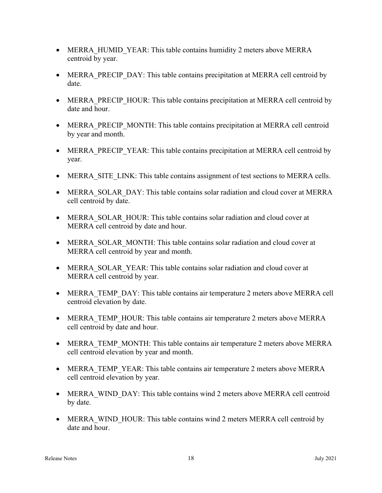- MERRA HUMID YEAR: This table contains humidity 2 meters above MERRA centroid by year.
- MERRA PRECIP DAY: This table contains precipitation at MERRA cell centroid by date.
- MERRA PRECIP HOUR: This table contains precipitation at MERRA cell centroid by date and hour.
- MERRA PRECIP MONTH: This table contains precipitation at MERRA cell centroid by year and month.
- MERRA PRECIP YEAR: This table contains precipitation at MERRA cell centroid by year.
- MERRA SITE LINK: This table contains assignment of test sections to MERRA cells.
- MERRA SOLAR DAY: This table contains solar radiation and cloud cover at MERRA cell centroid by date.
- MERRA SOLAR HOUR: This table contains solar radiation and cloud cover at MERRA cell centroid by date and hour.
- MERRA SOLAR MONTH: This table contains solar radiation and cloud cover at MERRA cell centroid by year and month.
- MERRA SOLAR YEAR: This table contains solar radiation and cloud cover at MERRA cell centroid by year.
- MERRA TEMP DAY: This table contains air temperature 2 meters above MERRA cell centroid elevation by date.
- MERRA TEMP HOUR: This table contains air temperature 2 meters above MERRA cell centroid by date and hour.
- MERRA TEMP MONTH: This table contains air temperature 2 meters above MERRA cell centroid elevation by year and month.
- MERRA TEMP YEAR: This table contains air temperature 2 meters above MERRA cell centroid elevation by year.
- MERRA WIND DAY: This table contains wind 2 meters above MERRA cell centroid by date.
- MERRA WIND HOUR: This table contains wind 2 meters MERRA cell centroid by date and hour.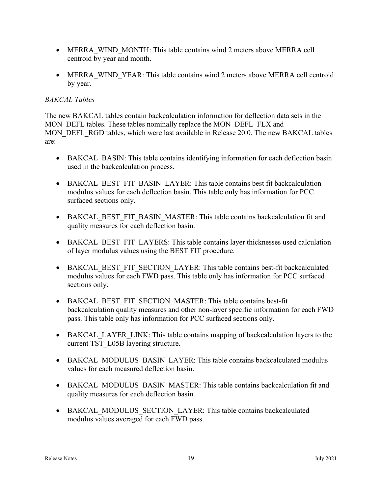- MERRA WIND MONTH: This table contains wind 2 meters above MERRA cell centroid by year and month.
- MERRA WIND YEAR: This table contains wind 2 meters above MERRA cell centroid by year.

#### BAKCAL Tables

The new BAKCAL tables contain backcalculation information for deflection data sets in the MON DEFL tables. These tables nominally replace the MON DEFL FLX and MON\_DEFL\_RGD tables, which were last available in Release 20.0. The new BAKCAL tables are:

- BAKCAL BASIN: This table contains identifying information for each deflection basin used in the backcalculation process.
- BAKCAL BEST FIT BASIN LAYER: This table contains best fit backcalculation modulus values for each deflection basin. This table only has information for PCC surfaced sections only.
- BAKCAL BEST FIT BASIN MASTER: This table contains backcalculation fit and quality measures for each deflection basin.
- BAKCAL BEST FIT LAYERS: This table contains layer thicknesses used calculation of layer modulus values using the BEST FIT procedure.
- BAKCAL BEST FIT SECTION LAYER: This table contains best-fit backcalculated modulus values for each FWD pass. This table only has information for PCC surfaced sections only.
- BAKCAL BEST FIT SECTION MASTER: This table contains best-fit backcalculation quality measures and other non-layer specific information for each FWD pass. This table only has information for PCC surfaced sections only.
- BAKCAL LAYER LINK: This table contains mapping of backcalculation layers to the current TST\_L05B layering structure.
- BAKCAL\_MODULUS\_BASIN\_LAYER: This table contains backcalculated modulus values for each measured deflection basin.
- BAKCAL\_MODULUS\_BASIN\_MASTER: This table contains backcalculation fit and quality measures for each deflection basin.
- BAKCAL MODULUS SECTION LAYER: This table contains backcalculated modulus values averaged for each FWD pass.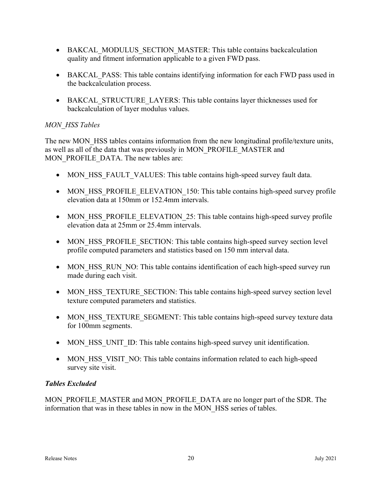- BAKCAL MODULUS SECTION MASTER: This table contains backcalculation quality and fitment information applicable to a given FWD pass.
- BAKCAL PASS: This table contains identifying information for each FWD pass used in the backcalculation process.
- BAKCAL STRUCTURE LAYERS: This table contains layer thicknesses used for backcalculation of layer modulus values.

### MON\_HSS Tables

The new MON HSS tables contains information from the new longitudinal profile/texture units, as well as all of the data that was previously in MON\_PROFILE\_MASTER and MON\_PROFILE\_DATA. The new tables are:

- MON HSS FAULT VALUES: This table contains high-speed survey fault data.
- MON HSS PROFILE ELEVATION 150: This table contains high-speed survey profile elevation data at 150mm or 152.4mm intervals.
- MON HSS PROFILE ELEVATION 25: This table contains high-speed survey profile elevation data at 25mm or 25.4mm intervals.
- MON HSS PROFILE SECTION: This table contains high-speed survey section level profile computed parameters and statistics based on 150 mm interval data.
- MON HSS RUN NO: This table contains identification of each high-speed survey run made during each visit.
- MON HSS TEXTURE SECTION: This table contains high-speed survey section level texture computed parameters and statistics.
- MON HSS TEXTURE SEGMENT: This table contains high-speed survey texture data for 100mm segments.
- MON HSS UNIT ID: This table contains high-speed survey unit identification.
- MON HSS VISIT NO: This table contains information related to each high-speed survey site visit.

### Tables Excluded

MON\_PROFILE\_MASTER and MON\_PROFILE\_DATA are no longer part of the SDR. The information that was in these tables in now in the MON\_HSS series of tables.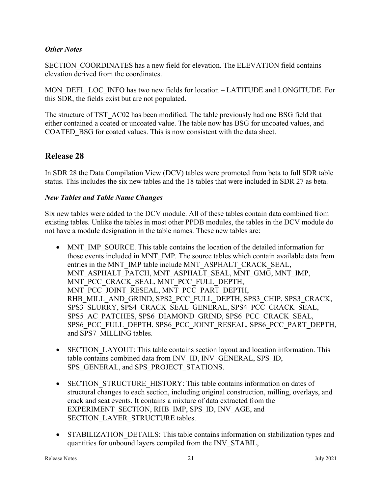#### **Other Notes**

SECTION\_COORDINATES has a new field for elevation. The ELEVATION field contains elevation derived from the coordinates.

MON\_DEFL\_LOC\_INFO has two new fields for location – LATITUDE and LONGITUDE. For this SDR, the fields exist but are not populated.

The structure of TST AC02 has been modified. The table previously had one BSG field that either contained a coated or uncoated value. The table now has BSG for uncoated values, and COATED BSG for coated values. This is now consistent with the data sheet.

# Release 28

In SDR 28 the Data Compilation View (DCV) tables were promoted from beta to full SDR table status. This includes the six new tables and the 18 tables that were included in SDR 27 as beta.

#### New Tables and Table Name Changes

Six new tables were added to the DCV module. All of these tables contain data combined from existing tables. Unlike the tables in most other PPDB modules, the tables in the DCV module do not have a module designation in the table names. These new tables are:

- MNT IMP SOURCE. This table contains the location of the detailed information for those events included in MNT\_IMP. The source tables which contain available data from entries in the MNT\_IMP table include MNT\_ASPHALT\_CRACK\_SEAL, MNT\_ASPHALT\_PATCH, MNT\_ASPHALT\_SEAL, MNT\_GMG, MNT\_IMP, MNT\_PCC\_CRACK\_SEAL, MNT\_PCC\_FULL\_DEPTH, MNT\_PCC\_JOINT\_RESEAL, MNT\_PCC\_PART\_DEPTH, RHB\_MILL\_AND\_GRIND, SPS2\_PCC\_FULL\_DEPTH, SPS3\_CHIP, SPS3\_CRACK, SPS3\_SLURRY, SPS4\_CRACK\_SEAL\_GENERAL, SPS4\_PCC\_CRACK\_SEAL, SPS5\_AC\_PATCHES, SPS6\_DIAMOND\_GRIND, SPS6\_PCC\_CRACK\_SEAL, SPS6\_PCC\_FULL\_DEPTH, SPS6\_PCC\_JOINT\_RESEAL, SPS6\_PCC\_PART\_DEPTH, and SPS7\_MILLING tables.
- SECTION LAYOUT: This table contains section layout and location information. This table contains combined data from INV\_ID, INV\_GENERAL, SPS\_ID, SPS\_GENERAL, and SPS\_PROJECT\_STATIONS.
- SECTION STRUCTURE HISTORY: This table contains information on dates of structural changes to each section, including original construction, milling, overlays, and crack and seat events. It contains a mixture of data extracted from the EXPERIMENT\_SECTION, RHB\_IMP, SPS\_ID, INV\_AGE, and SECTION\_LAYER\_STRUCTURE tables.
- STABILIZATION DETAILS: This table contains information on stabilization types and quantities for unbound layers compiled from the INV\_STABIL,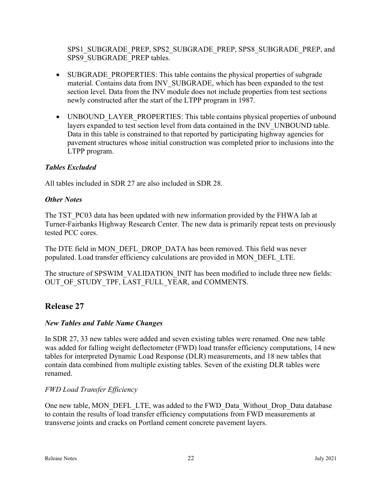SPS1\_SUBGRADE\_PREP, SPS2\_SUBGRADE\_PREP, SPS8\_SUBGRADE\_PREP, and SPS9\_SUBGRADE\_PREP tables.

- SUBGRADE PROPERTIES: This table contains the physical properties of subgrade material. Contains data from INV\_SUBGRADE, which has been expanded to the test section level. Data from the INV module does not include properties from test sections newly constructed after the start of the LTPP program in 1987.
- UNBOUND LAYER PROPERTIES: This table contains physical properties of unbound layers expanded to test section level from data contained in the INV\_UNBOUND table. Data in this table is constrained to that reported by participating highway agencies for pavement structures whose initial construction was completed prior to inclusions into the LTPP program.

# Tables Excluded

All tables included in SDR 27 are also included in SDR 28.

### **Other Notes**

The TST PC03 data has been updated with new information provided by the FHWA lab at Turner-Fairbanks Highway Research Center. The new data is primarily repeat tests on previously tested PCC cores.

The DTE field in MON\_DEFL\_DROP\_DATA has been removed. This field was never populated. Load transfer efficiency calculations are provided in MON\_DEFL\_LTE.

The structure of SPSWIM\_VALIDATION\_INIT has been modified to include three new fields: OUT OF STUDY TPF, LAST FULL YEAR, and COMMENTS.

# Release 27

### New Tables and Table Name Changes

In SDR 27, 33 new tables were added and seven existing tables were renamed. One new table was added for falling weight deflectometer (FWD) load transfer efficiency computations, 14 new tables for interpreted Dynamic Load Response (DLR) measurements, and 18 new tables that contain data combined from multiple existing tables. Seven of the existing DLR tables were renamed.

# FWD Load Transfer Efficiency

One new table, MON\_DEFL\_LTE, was added to the FWD\_Data\_Without\_Drop\_Data database to contain the results of load transfer efficiency computations from FWD measurements at transverse joints and cracks on Portland cement concrete pavement layers.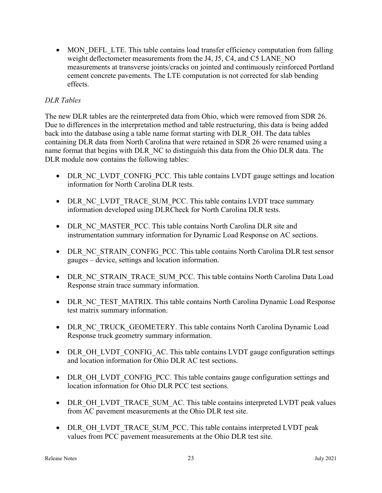• MON DEFL LTE. This table contains load transfer efficiency computation from falling weight deflectometer measurements from the J4, J5, C4, and C5 LANE\_NO measurements at transverse joints/cracks on jointed and continuously reinforced Portland cement concrete pavements. The LTE computation is not corrected for slab bending effects.

### DLR Tables

The new DLR tables are the reinterpreted data from Ohio, which were removed from SDR 26. Due to differences in the interpretation method and table restructuring, this data is being added back into the database using a table name format starting with DLR\_OH. The data tables containing DLR data from North Carolina that were retained in SDR 26 were renamed using a name format that begins with DLR\_NC to distinguish this data from the Ohio DLR data. The DLR module now contains the following tables:

- DLR NC LVDT CONFIG PCC. This table contains LVDT gauge settings and location information for North Carolina DLR tests.
- DLR NC\_LVDT\_TRACE\_SUM\_PCC. This table contains LVDT trace summary information developed using DLRCheck for North Carolina DLR tests.
- DLR\_NC\_MASTER\_PCC. This table contains North Carolina DLR site and instrumentation summary information for Dynamic Load Response on AC sections.
- DLR\_NC\_STRAIN\_CONFIG\_PCC. This table contains North Carolina DLR test sensor gauges – device, settings and location information.
- DLR\_NC\_STRAIN\_TRACE\_SUM\_PCC. This table contains North Carolina Data Load Response strain trace summary information.
- DLR NC TEST MATRIX. This table contains North Carolina Dynamic Load Response test matrix summary information.
- DLR\_NC\_TRUCK\_GEOMETERY. This table contains North Carolina Dynamic Load Response truck geometry summary information.
- DLR\_OH\_LVDT\_CONFIG\_AC. This table contains LVDT gauge configuration settings and location information for Ohio DLR AC test sections.
- DLR\_OH\_LVDT\_CONFIG\_PCC. This table contains gauge configuration settings and location information for Ohio DLR PCC test sections.
- DLR\_OH\_LVDT\_TRACE\_SUM\_AC. This table contains interpreted LVDT peak values from AC pavement measurements at the Ohio DLR test site.
- DLR\_OH\_LVDT\_TRACE\_SUM\_PCC. This table contains interpreted LVDT peak values from PCC pavement measurements at the Ohio DLR test site.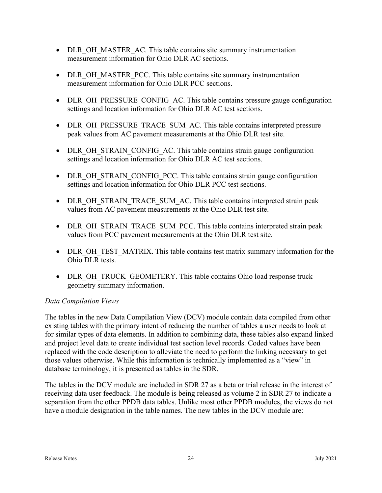- DLR OH\_MASTER\_AC. This table contains site summary instrumentation measurement information for Ohio DLR AC sections.
- DLR\_OH\_MASTER\_PCC. This table contains site summary instrumentation measurement information for Ohio DLR PCC sections.
- DLR OH\_PRESSURE\_CONFIG\_AC. This table contains pressure gauge configuration settings and location information for Ohio DLR AC test sections.
- DLR\_OH\_PRESSURE\_TRACE\_SUM\_AC. This table contains interpreted pressure peak values from AC pavement measurements at the Ohio DLR test site.
- DLR\_OH\_STRAIN\_CONFIG\_AC. This table contains strain gauge configuration settings and location information for Ohio DLR AC test sections.
- DLR\_OH\_STRAIN\_CONFIG\_PCC. This table contains strain gauge configuration settings and location information for Ohio DLR PCC test sections.
- DLR\_OH\_STRAIN\_TRACE\_SUM\_AC. This table contains interpreted strain peak values from AC pavement measurements at the Ohio DLR test site.
- DLR\_OH\_STRAIN\_TRACE\_SUM\_PCC. This table contains interpreted strain peak values from PCC pavement measurements at the Ohio DLR test site.
- DLR OH TEST MATRIX. This table contains test matrix summary information for the Ohio DLR tests.
- DLR\_OH\_TRUCK\_GEOMETERY. This table contains Ohio load response truck geometry summary information.

### Data Compilation Views

The tables in the new Data Compilation View (DCV) module contain data compiled from other existing tables with the primary intent of reducing the number of tables a user needs to look at for similar types of data elements. In addition to combining data, these tables also expand linked and project level data to create individual test section level records. Coded values have been replaced with the code description to alleviate the need to perform the linking necessary to get those values otherwise. While this information is technically implemented as a "view" in database terminology, it is presented as tables in the SDR.

The tables in the DCV module are included in SDR 27 as a beta or trial release in the interest of receiving data user feedback. The module is being released as volume 2 in SDR 27 to indicate a separation from the other PPDB data tables. Unlike most other PPDB modules, the views do not have a module designation in the table names. The new tables in the DCV module are: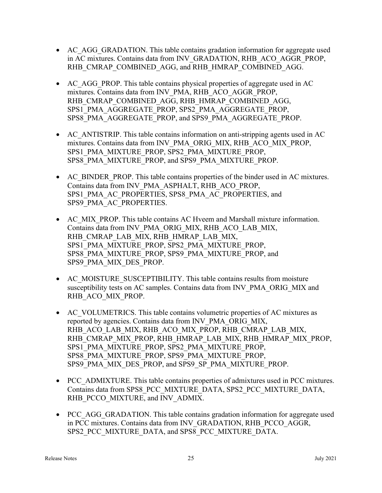- AC\_AGG\_GRADATION. This table contains gradation information for aggregate used in AC mixtures. Contains data from INV\_GRADATION, RHB\_ACO\_AGGR\_PROP, RHB\_CMRAP\_COMBINED\_AGG, and RHB\_HMRAP\_COMBINED\_AGG.
- AC AGG PROP. This table contains physical properties of aggregate used in AC mixtures. Contains data from INV\_PMA, RHB\_ACO\_AGGR\_PROP, RHB\_CMRAP\_COMBINED\_AGG, RHB\_HMRAP\_COMBINED\_AGG, SPS1\_PMA\_AGGREGATE\_PROP, SPS2\_PMA\_AGGREGATE\_PROP, SPS8\_PMA\_AGGREGATE\_PROP, and SPS9\_PMA\_AGGREGATE\_PROP.
- AC ANTISTRIP. This table contains information on anti-stripping agents used in AC mixtures. Contains data from INV\_PMA\_ORIG\_MIX, RHB\_ACO\_MIX\_PROP, SPS1\_PMA\_MIXTURE\_PROP, SPS2\_PMA\_MIXTURE\_PROP, SPS8\_PMA\_MIXTURE\_PROP, and SPS9\_PMA\_MIXTURE\_PROP.
- AC BINDER PROP. This table contains properties of the binder used in AC mixtures. Contains data from INV\_PMA\_ASPHALT, RHB\_ACO\_PROP, SPS1\_PMA\_AC\_PROPERTIES, SPS8\_PMA\_AC\_PROPERTIES, and SPS9\_PMA\_AC\_PROPERTIES.
- AC\_MIX\_PROP. This table contains AC Hveem and Marshall mixture information. Contains data from INV\_PMA\_ORIG\_MIX, RHB\_ACO\_LAB\_MIX, RHB\_CMRAP\_LAB\_MIX, RHB\_HMRAP\_LAB\_MIX, SPS1\_PMA\_MIXTURE\_PROP, SPS2\_PMA\_MIXTURE\_PROP, SPS8\_PMA\_MIXTURE\_PROP, SPS9\_PMA\_MIXTURE\_PROP, and SPS9\_PMA\_MIX\_DES\_PROP.
- AC MOISTURE SUSCEPTIBILITY. This table contains results from moisture susceptibility tests on AC samples. Contains data from INV\_PMA\_ORIG\_MIX and RHB\_ACO\_MIX\_PROP.
- AC\_VOLUMETRICS. This table contains volumetric properties of AC mixtures as reported by agencies. Contains data from INV\_PMA\_ORIG\_MIX, RHB\_ACO\_LAB\_MIX, RHB\_ACO\_MIX\_PROP, RHB\_CMRAP\_LAB\_MIX, RHB\_CMRAP\_MIX\_PROP, RHB\_HMRAP\_LAB\_MIX, RHB\_HMRAP\_MIX\_PROP, SPS1\_PMA\_MIXTURE\_PROP, SPS2\_PMA\_MIXTURE\_PROP, SPS8\_PMA\_MIXTURE\_PROP, SPS9\_PMA\_MIXTURE\_PROP, SPS9\_PMA\_MIX\_DES\_PROP, and SPS9\_SP\_PMA\_MIXTURE\_PROP.
- PCC\_ADMIXTURE. This table contains properties of admixtures used in PCC mixtures. Contains data from SPS8\_PCC\_MIXTURE\_DATA, SPS2\_PCC\_MIXTURE\_DATA, RHB\_PCCO\_MIXTURE, and INV\_ADMIX.
- PCC AGG GRADATION. This table contains gradation information for aggregate used in PCC mixtures. Contains data from INV\_GRADATION, RHB\_PCCO\_AGGR, SPS2\_PCC\_MIXTURE\_DATA, and SPS8\_PCC\_MIXTURE\_DATA.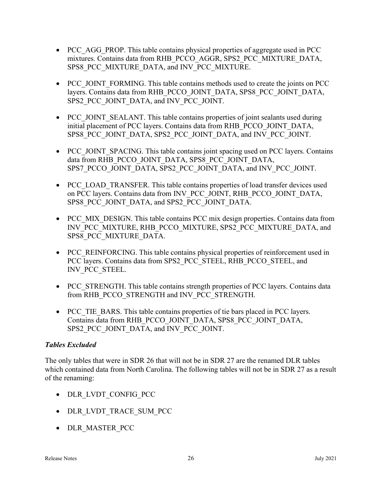- PCC AGG PROP. This table contains physical properties of aggregate used in PCC mixtures. Contains data from RHB\_PCCO\_AGGR, SPS2\_PCC\_MIXTURE\_DATA, SPS8\_PCC\_MIXTURE\_DATA, and INV\_PCC\_MIXTURE.
- PCC JOINT FORMING. This table contains methods used to create the joints on PCC layers. Contains data from RHB\_PCCO\_JOINT\_DATA, SPS8\_PCC\_JOINT\_DATA, SPS2\_PCC\_JOINT\_DATA, and INV\_PCC\_JOINT.
- PCC JOINT SEALANT. This table contains properties of joint sealants used during initial placement of PCC layers. Contains data from RHB\_PCCO\_JOINT\_DATA, SPS8\_PCC\_JOINT\_DATA, SPS2\_PCC\_JOINT\_DATA, and INV\_PCC\_JOINT.
- PCC JOINT SPACING. This table contains joint spacing used on PCC layers. Contains data from RHB\_PCCO\_JOINT\_DATA, SPS8\_PCC\_JOINT\_DATA, SPS7\_PCCO\_JOINT\_DATA, SPS2\_PCC\_JOINT\_DATA, and INV\_PCC\_JOINT.
- PCC\_LOAD\_TRANSFER. This table contains properties of load transfer devices used on PCC layers. Contains data from INV\_PCC\_JOINT, RHB\_PCCO\_JOINT\_DATA, SPS8\_PCC\_JOINT\_DATA, and SPS2\_PCC\_JOINT\_DATA.
- PCC MIX DESIGN. This table contains PCC mix design properties. Contains data from INV\_PCC\_MIXTURE, RHB\_PCCO\_MIXTURE, SPS2\_PCC\_MIXTURE\_DATA, and SPS8\_PCC\_MIXTURE\_DATA.
- PCC\_REINFORCING. This table contains physical properties of reinforcement used in PCC layers. Contains data from SPS2\_PCC\_STEEL, RHB\_PCCO\_STEEL, and INV\_PCC\_STEEL.
- PCC STRENGTH. This table contains strength properties of PCC layers. Contains data from RHB\_PCCO\_STRENGTH and INV\_PCC\_STRENGTH.
- PCC TIE BARS. This table contains properties of tie bars placed in PCC layers. Contains data from RHB\_PCCO\_JOINT\_DATA, SPS8\_PCC\_JOINT\_DATA, SPS2\_PCC\_JOINT\_DATA, and INV\_PCC\_JOINT.

### Tables Excluded

The only tables that were in SDR 26 that will not be in SDR 27 are the renamed DLR tables which contained data from North Carolina. The following tables will not be in SDR 27 as a result of the renaming:

- DLR LVDT CONFIG PCC
- DLR LVDT TRACE SUM PCC
- DLR MASTER PCC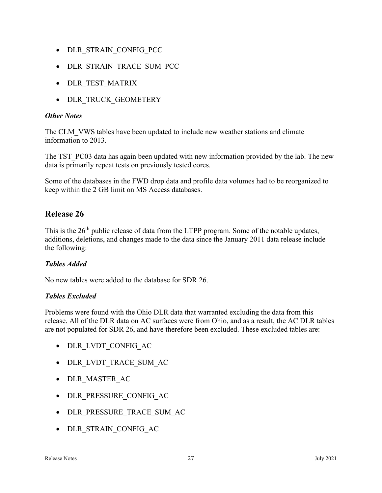- DLR STRAIN CONFIG PCC
- DLR STRAIN TRACE SUM PCC
- DLR TEST MATRIX
- DLR TRUCK GEOMETERY

### **Other Notes**

The CLM\_VWS tables have been updated to include new weather stations and climate information to 2013.

The TST\_PC03 data has again been updated with new information provided by the lab. The new data is primarily repeat tests on previously tested cores.

Some of the databases in the FWD drop data and profile data volumes had to be reorganized to keep within the 2 GB limit on MS Access databases.

# Release 26

This is the 26<sup>th</sup> public release of data from the LTPP program. Some of the notable updates, additions, deletions, and changes made to the data since the January 2011 data release include the following:

### Tables Added

No new tables were added to the database for SDR 26.

### Tables Excluded

Problems were found with the Ohio DLR data that warranted excluding the data from this release. All of the DLR data on AC surfaces were from Ohio, and as a result, the AC DLR tables are not populated for SDR 26, and have therefore been excluded. These excluded tables are:

- DLR LVDT CONFIG AC
- DLR\_LVDT\_TRACE\_SUM\_AC
- DLR MASTER AC
- DLR PRESSURE CONFIG AC
- DLR\_PRESSURE\_TRACE\_SUM\_AC
- DLR STRAIN CONFIG AC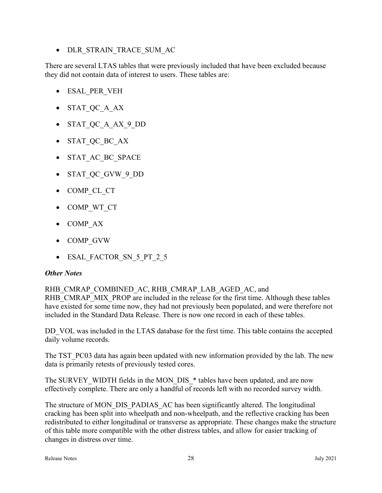• DLR STRAIN TRACE SUM AC

There are several LTAS tables that were previously included that have been excluded because they did not contain data of interest to users. These tables are:

- ESAL\_PER\_VEH
- STAT\_QC\_A\_AX
- STAT\_QC\_A\_AX\_9\_DD
- STAT\_QC\_BC\_AX
- STAT AC BC SPACE
- STAT QC GVW 9 DD
- COMP CL CT
- COMP WT CT
- COMP AX
- COMP\_GVW
- ESAL FACTOR SN 5 PT 2 5

#### **Other Notes**

RHB\_CMRAP\_COMBINED\_AC, RHB\_CMRAP\_LAB\_AGED\_AC, and

RHB\_CMRAP\_MIX\_PROP are included in the release for the first time. Although these tables have existed for some time now, they had not previously been populated, and were therefore not included in the Standard Data Release. There is now one record in each of these tables.

DD VOL was included in the LTAS database for the first time. This table contains the accepted daily volume records.

The TST PC03 data has again been updated with new information provided by the lab. The new data is primarily retests of previously tested cores.

The SURVEY WIDTH fields in the MON DIS \* tables have been updated, and are now effectively complete. There are only a handful of records left with no recorded survey width.

The structure of MON\_DIS\_PADIAS\_AC has been significantly altered. The longitudinal cracking has been split into wheelpath and non-wheelpath, and the reflective cracking has been redistributed to either longitudinal or transverse as appropriate. These changes make the structure of this table more compatible with the other distress tables, and allow for easier tracking of changes in distress over time.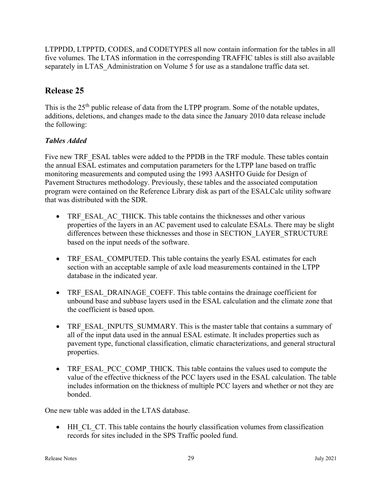LTPPDD, LTPPTD, CODES, and CODETYPES all now contain information for the tables in all five volumes. The LTAS information in the corresponding TRAFFIC tables is still also available separately in LTAS Administration on Volume 5 for use as a standalone traffic data set.

# Release 25

This is the 25<sup>th</sup> public release of data from the LTPP program. Some of the notable updates, additions, deletions, and changes made to the data since the January 2010 data release include the following:

# Tables Added

Five new TRF\_ESAL tables were added to the PPDB in the TRF module. These tables contain the annual ESAL estimates and computation parameters for the LTPP lane based on traffic monitoring measurements and computed using the 1993 AASHTO Guide for Design of Pavement Structures methodology. Previously, these tables and the associated computation program were contained on the Reference Library disk as part of the ESALCalc utility software that was distributed with the SDR.

- TRF\_ESAL\_AC\_THICK. This table contains the thicknesses and other various properties of the layers in an AC pavement used to calculate ESALs. There may be slight differences between these thicknesses and those in SECTION\_LAYER\_STRUCTURE based on the input needs of the software.
- TRF\_ESAL\_COMPUTED. This table contains the yearly ESAL estimates for each section with an acceptable sample of axle load measurements contained in the LTPP database in the indicated year.
- TRF\_ESAL\_DRAINAGE\_COEFF. This table contains the drainage coefficient for unbound base and subbase layers used in the ESAL calculation and the climate zone that the coefficient is based upon.
- TRF\_ESAL\_INPUTS\_SUMMARY. This is the master table that contains a summary of all of the input data used in the annual ESAL estimate. It includes properties such as pavement type, functional classification, climatic characterizations, and general structural properties.
- TRF\_ESAL\_PCC\_COMP\_THICK. This table contains the values used to compute the value of the effective thickness of the PCC layers used in the ESAL calculation. The table includes information on the thickness of multiple PCC layers and whether or not they are bonded.

One new table was added in the LTAS database.

 HH\_CL\_CT. This table contains the hourly classification volumes from classification records for sites included in the SPS Traffic pooled fund.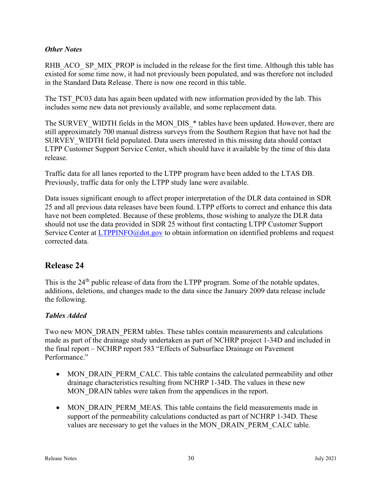#### **Other Notes**

RHB\_ACO\_ SP\_MIX\_PROP is included in the release for the first time. Although this table has existed for some time now, it had not previously been populated, and was therefore not included in the Standard Data Release. There is now one record in this table.

The TST PC03 data has again been updated with new information provided by the lab. This includes some new data not previously available, and some replacement data.

The SURVEY WIDTH fields in the MON DIS \* tables have been updated. However, there are still approximately 700 manual distress surveys from the Southern Region that have not had the SURVEY WIDTH field populated. Data users interested in this missing data should contact LTPP Customer Support Service Center, which should have it available by the time of this data release.

Traffic data for all lanes reported to the LTPP program have been added to the LTAS DB. Previously, traffic data for only the LTPP study lane were available.

Data issues significant enough to affect proper interpretation of the DLR data contained in SDR 25 and all previous data releases have been found. LTPP efforts to correct and enhance this data have not been completed. Because of these problems, those wishing to analyze the DLR data should not use the data provided in SDR 25 without first contacting LTPP Customer Support Service Center at **LTPPINFO@dot.gov** to obtain information on identified problems and request corrected data.

# Release 24

This is the 24<sup>th</sup> public release of data from the LTPP program. Some of the notable updates, additions, deletions, and changes made to the data since the January 2009 data release include the following.

### Tables Added

Two new MON\_DRAIN\_PERM tables. These tables contain measurements and calculations made as part of the drainage study undertaken as part of NCHRP project 1-34D and included in the final report – NCHRP report 583 "Effects of Subsurface Drainage on Pavement Performance."

- MON DRAIN PERM CALC. This table contains the calculated permeability and other drainage characteristics resulting from NCHRP 1-34D. The values in these new MON DRAIN tables were taken from the appendices in the report.
- MON DRAIN PERM MEAS. This table contains the field measurements made in support of the permeability calculations conducted as part of NCHRP 1-34D. These values are necessary to get the values in the MON\_DRAIN\_PERM\_CALC table.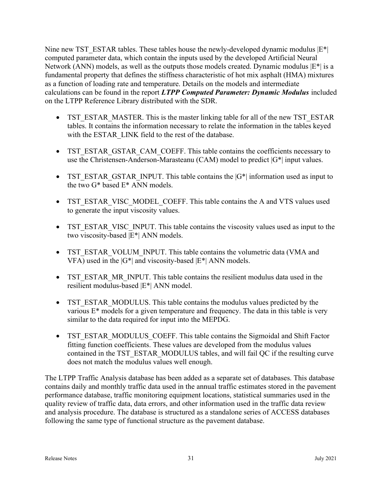Nine new TST\_ESTAR tables. These tables house the newly-developed dynamic modulus  $|E^*|$ computed parameter data, which contain the inputs used by the developed Artificial Neural Network (ANN) models, as well as the outputs those models created. Dynamic modulus  $|E^*|$  is a fundamental property that defines the stiffness characteristic of hot mix asphalt (HMA) mixtures as a function of loading rate and temperature. Details on the models and intermediate calculations can be found in the report  $LTPP$  Computed Parameter: Dynamic Modulus included on the LTPP Reference Library distributed with the SDR.

- TST\_ESTAR\_MASTER. This is the master linking table for all of the new TST\_ESTAR tables. It contains the information necessary to relate the information in the tables keyed with the ESTAR\_LINK field to the rest of the database.
- TST\_ESTAR\_GSTAR\_CAM\_COEFF. This table contains the coefficients necessary to use the Christensen-Anderson-Marasteanu (CAM) model to predict  $|G^*|$  input values.
- TST\_ESTAR\_GSTAR\_INPUT. This table contains the  $|G^*|$  information used as input to the two G\* based E\* ANN models.
- TST\_ESTAR\_VISC\_MODEL\_COEFF. This table contains the A and VTS values used to generate the input viscosity values.
- TST\_ESTAR\_VISC\_INPUT. This table contains the viscosity values used as input to the two viscosity-based |E\*| ANN models.
- TST\_ESTAR\_VOLUM\_INPUT. This table contains the volumetric data (VMA and VFA) used in the  $|G^*|$  and viscosity-based  $|E^*|$  ANN models.
- TST\_ESTAR\_MR\_INPUT. This table contains the resilient modulus data used in the resilient modulus-based |E\*| ANN model.
- TST\_ESTAR\_MODULUS. This table contains the modulus values predicted by the various E\* models for a given temperature and frequency. The data in this table is very similar to the data required for input into the MEPDG.
- TST\_ESTAR\_MODULUS\_COEFF. This table contains the Sigmoidal and Shift Factor fitting function coefficients. These values are developed from the modulus values contained in the TST\_ESTAR\_MODULUS tables, and will fail QC if the resulting curve does not match the modulus values well enough.

The LTPP Traffic Analysis database has been added as a separate set of databases. This database contains daily and monthly traffic data used in the annual traffic estimates stored in the pavement performance database, traffic monitoring equipment locations, statistical summaries used in the quality review of traffic data, data errors, and other information used in the traffic data review and analysis procedure. The database is structured as a standalone series of ACCESS databases following the same type of functional structure as the pavement database.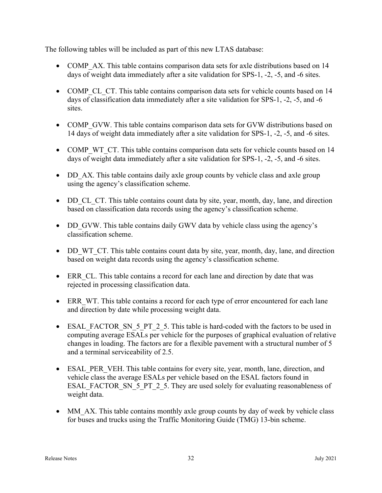The following tables will be included as part of this new LTAS database:

- COMP AX. This table contains comparison data sets for axle distributions based on 14 days of weight data immediately after a site validation for SPS-1, -2, -5, and -6 sites.
- COMP CL CT. This table contains comparison data sets for vehicle counts based on 14 days of classification data immediately after a site validation for SPS-1, -2, -5, and -6 sites.
- COMP GVW. This table contains comparison data sets for GVW distributions based on 14 days of weight data immediately after a site validation for SPS-1, -2, -5, and -6 sites.
- COMP WT CT. This table contains comparison data sets for vehicle counts based on 14 days of weight data immediately after a site validation for SPS-1, -2, -5, and -6 sites.
- DD AX. This table contains daily axle group counts by vehicle class and axle group using the agency's classification scheme.
- DD CL CT. This table contains count data by site, year, month, day, lane, and direction based on classification data records using the agency's classification scheme.
- DD GVW. This table contains daily GWV data by vehicle class using the agency's classification scheme.
- DD WT CT. This table contains count data by site, year, month, day, lane, and direction based on weight data records using the agency's classification scheme.
- ERR CL. This table contains a record for each lane and direction by date that was rejected in processing classification data.
- ERR WT. This table contains a record for each type of error encountered for each lane and direction by date while processing weight data.
- ESAL FACTOR SN 5 PT 2 5. This table is hard-coded with the factors to be used in computing average ESALs per vehicle for the purposes of graphical evaluation of relative changes in loading. The factors are for a flexible pavement with a structural number of 5 and a terminal serviceability of 2.5.
- ESAL PER VEH. This table contains for every site, year, month, lane, direction, and vehicle class the average ESALs per vehicle based on the ESAL factors found in ESAL\_FACTOR\_SN\_5\_PT\_2\_5. They are used solely for evaluating reasonableness of weight data.
- MM AX. This table contains monthly axle group counts by day of week by vehicle class for buses and trucks using the Traffic Monitoring Guide (TMG) 13-bin scheme.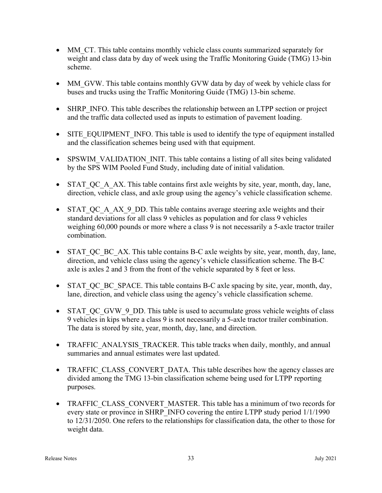- MM\_CT. This table contains monthly vehicle class counts summarized separately for weight and class data by day of week using the Traffic Monitoring Guide (TMG) 13-bin scheme.
- MM\_GVW. This table contains monthly GVW data by day of week by vehicle class for buses and trucks using the Traffic Monitoring Guide (TMG) 13-bin scheme.
- SHRP INFO. This table describes the relationship between an LTPP section or project and the traffic data collected used as inputs to estimation of pavement loading.
- SITE\_EQUIPMENT\_INFO. This table is used to identify the type of equipment installed and the classification schemes being used with that equipment.
- SPSWIM\_VALIDATION\_INIT. This table contains a listing of all sites being validated by the SPS WIM Pooled Fund Study, including date of initial validation.
- STAT QC A AX. This table contains first axle weights by site, year, month, day, lane, direction, vehicle class, and axle group using the agency's vehicle classification scheme.
- STAT QC A AX 9 DD. This table contains average steering axle weights and their standard deviations for all class 9 vehicles as population and for class 9 vehicles weighing 60,000 pounds or more where a class 9 is not necessarily a 5-axle tractor trailer combination.
- STAT QC BC AX. This table contains B-C axle weights by site, year, month, day, lane, direction, and vehicle class using the agency's vehicle classification scheme. The B-C axle is axles 2 and 3 from the front of the vehicle separated by 8 feet or less.
- STAT QC BC SPACE. This table contains B-C axle spacing by site, year, month, day, lane, direction, and vehicle class using the agency's vehicle classification scheme.
- STAT QC GVW 9 DD. This table is used to accumulate gross vehicle weights of class 9 vehicles in kips where a class 9 is not necessarily a 5-axle tractor trailer combination. The data is stored by site, year, month, day, lane, and direction.
- TRAFFIC ANALYSIS TRACKER. This table tracks when daily, monthly, and annual summaries and annual estimates were last updated.
- TRAFFIC CLASS CONVERT DATA. This table describes how the agency classes are divided among the TMG 13-bin classification scheme being used for LTPP reporting purposes.
- TRAFFIC CLASS CONVERT MASTER. This table has a minimum of two records for every state or province in SHRP\_INFO covering the entire LTPP study period  $1/1/1990$ to 12/31/2050. One refers to the relationships for classification data, the other to those for weight data.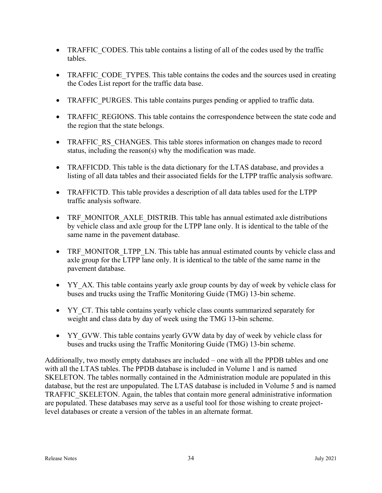- TRAFFIC CODES. This table contains a listing of all of the codes used by the traffic tables.
- TRAFFIC CODE TYPES. This table contains the codes and the sources used in creating the Codes List report for the traffic data base.
- TRAFFIC PURGES. This table contains purges pending or applied to traffic data.
- TRAFFIC REGIONS. This table contains the correspondence between the state code and the region that the state belongs.
- TRAFFIC RS CHANGES. This table stores information on changes made to record status, including the reason(s) why the modification was made.
- TRAFFICDD. This table is the data dictionary for the LTAS database, and provides a listing of all data tables and their associated fields for the LTPP traffic analysis software.
- TRAFFICTD. This table provides a description of all data tables used for the LTPP traffic analysis software.
- TRF MONITOR AXLE DISTRIB. This table has annual estimated axle distributions by vehicle class and axle group for the LTPP lane only. It is identical to the table of the same name in the pavement database.
- TRF MONITOR LTPP LN. This table has annual estimated counts by vehicle class and axle group for the LTPP lane only. It is identical to the table of the same name in the pavement database.
- YY\_AX. This table contains yearly axle group counts by day of week by vehicle class for buses and trucks using the Traffic Monitoring Guide (TMG) 13-bin scheme.
- YY\_CT. This table contains yearly vehicle class counts summarized separately for weight and class data by day of week using the TMG 13-bin scheme.
- YY GVW. This table contains yearly GVW data by day of week by vehicle class for buses and trucks using the Traffic Monitoring Guide (TMG) 13-bin scheme.

Additionally, two mostly empty databases are included – one with all the PPDB tables and one with all the LTAS tables. The PPDB database is included in Volume 1 and is named SKELETON. The tables normally contained in the Administration module are populated in this database, but the rest are unpopulated. The LTAS database is included in Volume 5 and is named TRAFFIC\_SKELETON. Again, the tables that contain more general administrative information are populated. These databases may serve as a useful tool for those wishing to create projectlevel databases or create a version of the tables in an alternate format.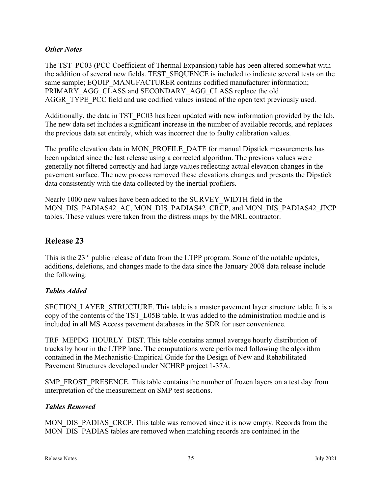#### **Other Notes**

The TST PC03 (PCC Coefficient of Thermal Expansion) table has been altered somewhat with the addition of several new fields. TEST\_SEQUENCE is included to indicate several tests on the same sample; EQUIP\_MANUFACTURER contains codified manufacturer information; PRIMARY\_AGG\_CLASS and SECONDARY\_AGG\_CLASS replace the old AGGR\_TYPE\_PCC field and use codified values instead of the open text previously used.

Additionally, the data in TST PC03 has been updated with new information provided by the lab. The new data set includes a significant increase in the number of available records, and replaces the previous data set entirely, which was incorrect due to faulty calibration values.

The profile elevation data in MON\_PROFILE\_DATE for manual Dipstick measurements has been updated since the last release using a corrected algorithm. The previous values were generally not filtered correctly and had large values reflecting actual elevation changes in the pavement surface. The new process removed these elevations changes and presents the Dipstick data consistently with the data collected by the inertial profilers.

Nearly 1000 new values have been added to the SURVEY\_WIDTH field in the MON\_DIS\_PADIAS42\_AC, MON\_DIS\_PADIAS42\_CRCP, and MON\_DIS\_PADIAS42\_JPCP tables. These values were taken from the distress maps by the MRL contractor.

# Release 23

This is the 23<sup>rd</sup> public release of data from the LTPP program. Some of the notable updates, additions, deletions, and changes made to the data since the January 2008 data release include the following:

### Tables Added

SECTION LAYER STRUCTURE. This table is a master pavement layer structure table. It is a copy of the contents of the TST\_L05B table. It was added to the administration module and is included in all MS Access pavement databases in the SDR for user convenience.

TRF\_MEPDG\_HOURLY\_DIST. This table contains annual average hourly distribution of trucks by hour in the LTPP lane. The computations were performed following the algorithm contained in the Mechanistic-Empirical Guide for the Design of New and Rehabilitated Pavement Structures developed under NCHRP project 1-37A.

SMP\_FROST\_PRESENCE. This table contains the number of frozen layers on a test day from interpretation of the measurement on SMP test sections.

### Tables Removed

MON DIS PADIAS CRCP. This table was removed since it is now empty. Records from the MON DIS PADIAS tables are removed when matching records are contained in the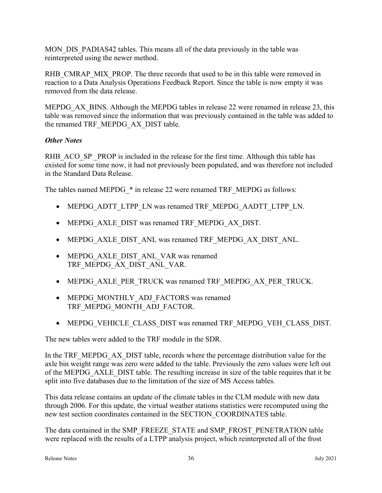MON\_DIS\_PADIAS42 tables. This means all of the data previously in the table was reinterpreted using the newer method.

RHB CMRAP MIX PROP. The three records that used to be in this table were removed in reaction to a Data Analysis Operations Feedback Report. Since the table is now empty it was removed from the data release.

MEPDG AX BINS. Although the MEPDG tables in release 22 were renamed in release 23, this table was removed since the information that was previously contained in the table was added to the renamed TRF\_MEPDG\_AX\_DIST table.

### **Other Notes**

RHB ACO SP PROP is included in the release for the first time. Although this table has existed for some time now, it had not previously been populated, and was therefore not included in the Standard Data Release.

The tables named MEPDG  $*$  in release 22 were renamed TRF\_MEPDG as follows:

- MEPDG\_ADTT\_LTPP\_LN was renamed TRF\_MEPDG\_AADTT\_LTPP\_LN.
- MEPDG\_AXLE\_DIST was renamed TRF\_MEPDG\_AX\_DIST.
- MEPDG\_AXLE\_DIST\_ANL was renamed TRF\_MEPDG\_AX\_DIST\_ANL.
- MEPDG\_AXLE\_DIST\_ANL\_VAR was renamed TRF\_MEPDG\_AX\_DIST\_ANL\_VAR.
- MEPDG\_AXLE\_PER\_TRUCK was renamed TRF\_MEPDG\_AX\_PER\_TRUCK.
- MEPDG\_MONTHLY\_ADJ\_FACTORS was renamed TRF\_MEPDG\_MONTH\_ADJ\_FACTOR.
- MEPDG\_VEHICLE\_CLASS\_DIST was renamed TRF\_MEPDG\_VEH\_CLASS\_DIST.

The new tables were added to the TRF module in the SDR.

In the TRF\_MEPDG\_AX\_DIST table, records where the percentage distribution value for the axle bin weight range was zero were added to the table. Previously the zero values were left out of the MEPDG\_AXLE\_DIST table. The resulting increase in size of the table requires that it be split into five databases due to the limitation of the size of MS Access tables.

This data release contains an update of the climate tables in the CLM module with new data through 2006. For this update, the virtual weather stations statistics were recomputed using the new test section coordinates contained in the SECTION\_COORDINATES table.

The data contained in the SMP\_FREEZE\_STATE and SMP\_FROST\_PENETRATION table were replaced with the results of a LTPP analysis project, which reinterpreted all of the frost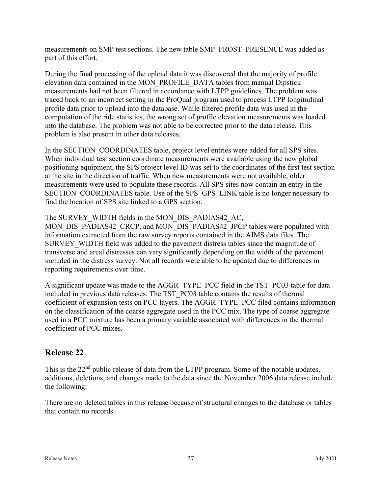measurements on SMP test sections. The new table SMP\_FROST\_PRESENCE was added as part of this effort.

During the final processing of the upload data it was discovered that the majority of profile elevation data contained in the MON\_PROFILE\_DATA tables from manual Dipstick measurements had not been filtered in accordance with LTPP guidelines. The problem was traced back to an incorrect setting in the ProQual program used to process LTPP longitudinal profile data prior to upload into the database. While filtered profile data was used in the computation of the ride statistics, the wrong set of profile elevation measurements was loaded into the database. The problem was not able to be corrected prior to the data release. This problem is also present in other data releases.

In the SECTION COORDINATES table, project level entries were added for all SPS sites. When individual test section coordinate measurements were available using the new global positioning equipment, the SPS project level ID was set to the coordinates of the first test section at the site in the direction of traffic. When new measurements were not available, older measurements were used to populate these records. All SPS sites now contain an entry in the SECTION COORDINATES table. Use of the SPS GPS LINK table is no longer necessary to find the location of SPS site linked to a GPS section.

The SURVEY WIDTH fields in the MON DIS PADIAS42 AC,

MON\_DIS\_PADIAS42\_CRCP, and MON\_DIS\_PADIAS42\_JPCP tables were populated with information extracted from the raw survey reports contained in the AIMS data files. The SURVEY WIDTH field was added to the pavement distress tables since the magnitude of transverse and areal distresses can vary significantly depending on the width of the pavement included in the distress survey. Not all records were able to be updated due to differences in reporting requirements over time.

A significant update was made to the AGGR\_TYPE\_PCC field in the TST\_PC03 table for data included in previous data releases. The TST\_PC03 table contains the results of thermal coefficient of expansion tests on PCC layers. The AGGR\_TYPE\_PCC filed contains information on the classification of the coarse aggregate used in the PCC mix. The type of coarse aggregate used in a PCC mixture has been a primary variable associated with differences in the thermal coefficient of PCC mixes.

# Release 22

This is the  $22<sup>nd</sup>$  public release of data from the LTPP program. Some of the notable updates, additions, deletions, and changes made to the data since the November 2006 data release include the following:

There are no deleted tables in this release because of structural changes to the database or tables that contain no records.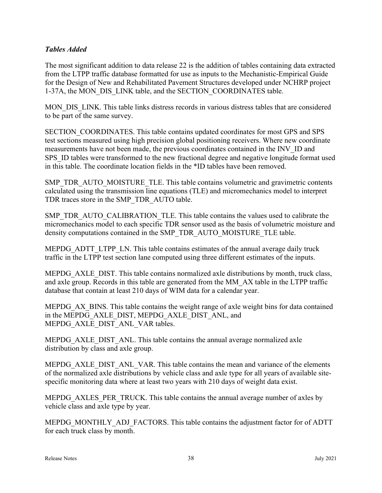#### Tables Added

The most significant addition to data release 22 is the addition of tables containing data extracted from the LTPP traffic database formatted for use as inputs to the Mechanistic-Empirical Guide for the Design of New and Rehabilitated Pavement Structures developed under NCHRP project 1-37A, the MON\_DIS\_LINK table, and the SECTION\_COORDINATES table.

MON DIS LINK. This table links distress records in various distress tables that are considered to be part of the same survey.

SECTION\_COORDINATES. This table contains updated coordinates for most GPS and SPS test sections measured using high precision global positioning receivers. Where new coordinate measurements have not been made, the previous coordinates contained in the INV\_ID and SPS ID tables were transformed to the new fractional degree and negative longitude format used in this table. The coordinate location fields in the \*ID tables have been removed.

SMP\_TDR\_AUTO\_MOISTURE\_TLE. This table contains volumetric and gravimetric contents calculated using the transmission line equations (TLE) and micromechanics model to interpret TDR traces store in the SMP\_TDR\_AUTO table.

SMP\_TDR\_AUTO\_CALIBRATION\_TLE. This table contains the values used to calibrate the micromechanics model to each specific TDR sensor used as the basis of volumetric moisture and density computations contained in the SMP\_TDR\_AUTO\_MOISTURE\_TLE table.

MEPDG\_ADTT\_LTPP\_LN. This table contains estimates of the annual average daily truck traffic in the LTPP test section lane computed using three different estimates of the inputs.

MEPDG\_AXLE\_DIST. This table contains normalized axle distributions by month, truck class, and axle group. Records in this table are generated from the MM\_AX table in the LTPP traffic database that contain at least 210 days of WIM data for a calendar year.

MEPDG AX BINS. This table contains the weight range of axle weight bins for data contained in the MEPDG\_AXLE\_DIST, MEPDG\_AXLE\_DIST\_ANL, and MEPDG\_AXLE\_DIST\_ANL\_VAR tables.

MEPDG\_AXLE\_DIST\_ANL. This table contains the annual average normalized axle distribution by class and axle group.

MEPDG\_AXLE\_DIST\_ANL\_VAR. This table contains the mean and variance of the elements of the normalized axle distributions by vehicle class and axle type for all years of available sitespecific monitoring data where at least two years with 210 days of weight data exist.

MEPDG AXLES PER TRUCK. This table contains the annual average number of axles by vehicle class and axle type by year.

MEPDG\_MONTHLY\_ADJ\_FACTORS. This table contains the adjustment factor for of ADTT for each truck class by month.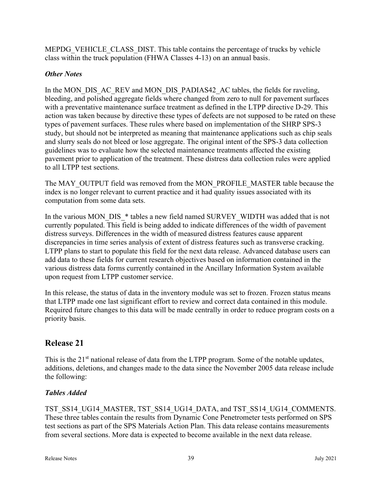MEPDG VEHICLE CLASS DIST. This table contains the percentage of trucks by vehicle class within the truck population (FHWA Classes 4-13) on an annual basis.

### **Other Notes**

In the MON\_DIS\_AC\_REV and MON\_DIS\_PADIAS42\_AC tables, the fields for raveling, bleeding, and polished aggregate fields where changed from zero to null for pavement surfaces with a preventative maintenance surface treatment as defined in the LTPP directive D-29. This action was taken because by directive these types of defects are not supposed to be rated on these types of pavement surfaces. These rules where based on implementation of the SHRP SPS-3 study, but should not be interpreted as meaning that maintenance applications such as chip seals and slurry seals do not bleed or lose aggregate. The original intent of the SPS-3 data collection guidelines was to evaluate how the selected maintenance treatments affected the existing pavement prior to application of the treatment. These distress data collection rules were applied to all LTPP test sections.

The MAY\_OUTPUT field was removed from the MON\_PROFILE\_MASTER table because the index is no longer relevant to current practice and it had quality issues associated with its computation from some data sets.

In the various MON\_DIS\_\* tables a new field named SURVEY\_WIDTH was added that is not currently populated. This field is being added to indicate differences of the width of pavement distress surveys. Differences in the width of measured distress features cause apparent discrepancies in time series analysis of extent of distress features such as transverse cracking. LTPP plans to start to populate this field for the next data release. Advanced database users can add data to these fields for current research objectives based on information contained in the various distress data forms currently contained in the Ancillary Information System available upon request from LTPP customer service.

In this release, the status of data in the inventory module was set to frozen. Frozen status means that LTPP made one last significant effort to review and correct data contained in this module. Required future changes to this data will be made centrally in order to reduce program costs on a priority basis.

# Release 21

This is the 21<sup>st</sup> national release of data from the LTPP program. Some of the notable updates, additions, deletions, and changes made to the data since the November 2005 data release include the following:

# Tables Added

TST\_SS14\_UG14\_MASTER, TST\_SS14\_UG14\_DATA, and TST\_SS14\_UG14\_COMMENTS. These three tables contain the results from Dynamic Cone Penetrometer tests performed on SPS test sections as part of the SPS Materials Action Plan. This data release contains measurements from several sections. More data is expected to become available in the next data release.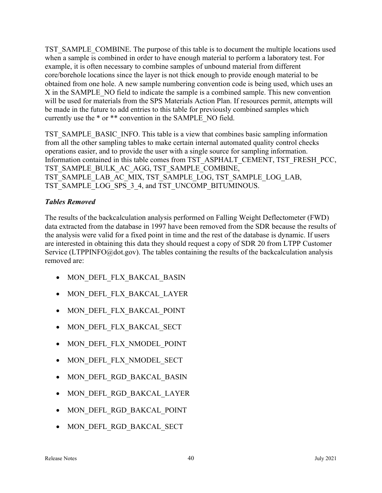TST\_SAMPLE\_COMBINE. The purpose of this table is to document the multiple locations used when a sample is combined in order to have enough material to perform a laboratory test. For example, it is often necessary to combine samples of unbound material from different core/borehole locations since the layer is not thick enough to provide enough material to be obtained from one hole. A new sample numbering convention code is being used, which uses an X in the SAMPLE\_NO field to indicate the sample is a combined sample. This new convention will be used for materials from the SPS Materials Action Plan. If resources permit, attempts will be made in the future to add entries to this table for previously combined samples which currently use the \* or \*\* convention in the SAMPLE\_NO field.

TST\_SAMPLE\_BASIC\_INFO. This table is a view that combines basic sampling information from all the other sampling tables to make certain internal automated quality control checks operations easier, and to provide the user with a single source for sampling information. Information contained in this table comes from TST\_ASPHALT\_CEMENT, TST\_FRESH\_PCC, TST\_SAMPLE\_BULK\_AC\_AGG, TST\_SAMPLE\_COMBINE, TST\_SAMPLE\_LAB\_AC\_MIX, TST\_SAMPLE\_LOG, TST\_SAMPLE\_LOG\_LAB, TST\_SAMPLE\_LOG\_SPS\_3\_4, and TST\_UNCOMP\_BITUMINOUS.

### Tables Removed

The results of the backcalculation analysis performed on Falling Weight Deflectometer (FWD) data extracted from the database in 1997 have been removed from the SDR because the results of the analysis were valid for a fixed point in time and the rest of the database is dynamic. If users are interested in obtaining this data they should request a copy of SDR 20 from LTPP Customer Service (LTPPINFO@dot.gov). The tables containing the results of the backcalculation analysis removed are:

- MON DEFL FLX BAKCAL BASIN
- MON DEFL FLX BAKCAL LAYER
- $\bullet$  MON DEFL FLX BAKCAL POINT
- MON DEFL FLX BAKCAL SECT
- MON DEFL FLX NMODEL POINT
- MON DEFL FLX NMODEL SECT
- MON DEFL RGD BAKCAL BASIN
- MON DEFL RGD BAKCAL LAYER
- MON DEFL RGD BAKCAL POINT
- MON DEFL RGD BAKCAL SECT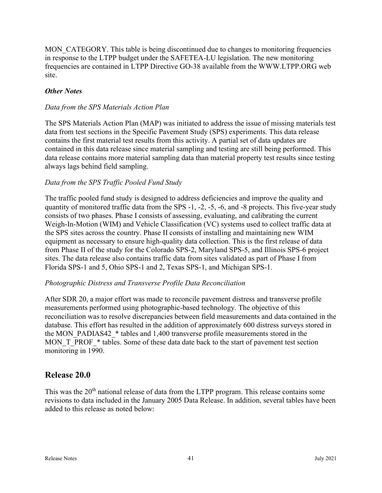MON CATEGORY. This table is being discontinued due to changes to monitoring frequencies in response to the LTPP budget under the SAFETEA-LU legislation. The new monitoring frequencies are contained in LTPP Directive GO-38 available from the WWW.LTPP.ORG web site.

### **Other Notes**

#### Data from the SPS Materials Action Plan

The SPS Materials Action Plan (MAP) was initiated to address the issue of missing materials test data from test sections in the Specific Pavement Study (SPS) experiments. This data release contains the first material test results from this activity. A partial set of data updates are contained in this data release since material sampling and testing are still being performed. This data release contains more material sampling data than material property test results since testing always lags behind field sampling.

#### Data from the SPS Traffic Pooled Fund Study

The traffic pooled fund study is designed to address deficiencies and improve the quality and quantity of monitored traffic data from the SPS -1, -2, -5, -6, and -8 projects. This five-year study consists of two phases. Phase I consists of assessing, evaluating, and calibrating the current Weigh-In-Motion (WIM) and Vehicle Classification (VC) systems used to collect traffic data at the SPS sites across the country. Phase II consists of installing and maintaining new WIM equipment as necessary to ensure high-quality data collection. This is the first release of data from Phase II of the study for the Colorado SPS-2, Maryland SPS-5, and Illinois SPS-6 project sites. The data release also contains traffic data from sites validated as part of Phase I from Florida SPS-1 and 5, Ohio SPS-1 and 2, Texas SPS-1, and Michigan SPS-1.

#### Photographic Distress and Transverse Profile Data Reconciliation

After SDR 20, a major effort was made to reconcile pavement distress and transverse profile measurements performed using photographic-based technology. The objective of this reconciliation was to resolve discrepancies between field measurements and data contained in the database. This effort has resulted in the addition of approximately 600 distress surveys stored in the MON\_PADIAS42\_\* tables and 1,400 transverse profile measurements stored in the MON T\_PROF\_\* tables. Some of these data date back to the start of pavement test section monitoring in 1990.

# Release 20.0

This was the  $20<sup>th</sup>$  national release of data from the LTPP program. This release contains some revisions to data included in the January 2005 Data Release. In addition, several tables have been added to this release as noted below: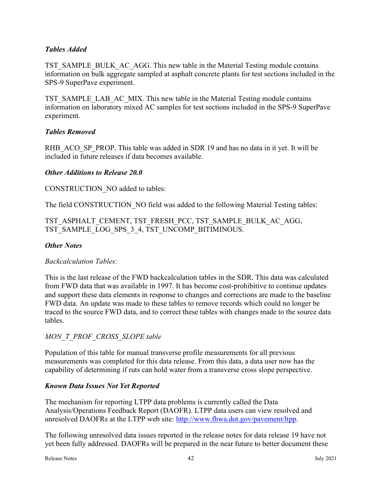### Tables Added

TST\_SAMPLE\_BULK\_AC\_AGG. This new table in the Material Testing module contains information on bulk aggregate sampled at asphalt concrete plants for test sections included in the SPS-9 SuperPave experiment.

TST\_SAMPLE\_LAB\_AC\_MIX. This new table in the Material Testing module contains information on laboratory mixed AC samples for test sections included in the SPS-9 SuperPave experiment.

### Tables Removed

RHB\_ACO\_SP\_PROP. This table was added in SDR 19 and has no data in it yet. It will be included in future releases if data becomes available.

### Other Additions to Release 20.0

CONSTRUCTION\_NO added to tables:

The field CONSTRUCTION NO field was added to the following Material Testing tables:

### TST\_ASPHALT\_CEMENT, TST\_FRESH\_PCC, TST\_SAMPLE\_BULK\_AC\_AGG, TST\_SAMPLE\_LOG\_SPS\_3\_4, TST\_UNCOMP\_BITIMINOUS.

### **Other Notes**

# Backcalculation Tables:

This is the last release of the FWD backcalculation tables in the SDR. This data was calculated from FWD data that was available in 1997. It has become cost-prohibitive to continue updates and support these data elements in response to changes and corrections are made to the baseline FWD data. An update was made to these tables to remove records which could no longer be traced to the source FWD data, and to correct these tables with changes made to the source data tables.

# MON\_T\_PROF\_CROSS\_SLOPE table

Population of this table for manual transverse profile measurements for all previous measurements was completed for this data release. From this data, a data user now has the capability of determining if ruts can hold water from a transverse cross slope perspective.

### Known Data Issues Not Yet Reported

The mechanism for reporting LTPP data problems is currently called the Data Analysis/Operations Feedback Report (DAOFR). LTPP data users can view resolved and unresolved DAOFRs at the LTPP web site: http://www.fhwa.dot.gov/pavement/ltpp.

The following unresolved data issues reported in the release notes for data release 19 have not yet been fully addressed. DAOFRs will be prepared in the near future to better document these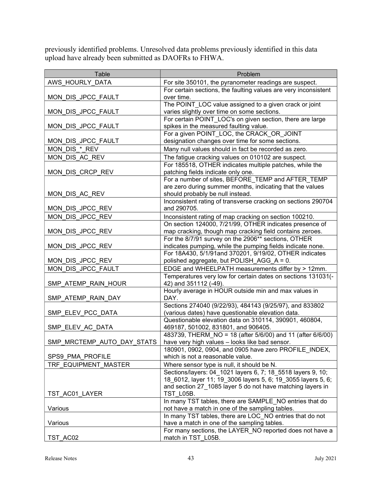previously identified problems. Unresolved data problems previously identified in this data upload have already been submitted as DAOFRs to FHWA.

| Table                      | Problem                                                                                                        |
|----------------------------|----------------------------------------------------------------------------------------------------------------|
| AWS_HOURLY_DATA            | For site 350101, the pyranometer readings are suspect.                                                         |
|                            | For certain sections, the faulting values are very inconsistent                                                |
| MON_DIS_JPCC_FAULT         | over time.                                                                                                     |
|                            | The POINT_LOC value assigned to a given crack or joint                                                         |
| MON_DIS_JPCC_FAULT         | varies slightly over time on some sections.                                                                    |
|                            | For certain POINT LOC's on given section, there are large                                                      |
| MON_DIS_JPCC_FAULT         | spikes in the measured faulting value.                                                                         |
|                            | For a given POINT_LOC, the CRACK_OR_JOINT                                                                      |
| MON_DIS_JPCC_FAULT         | designation changes over time for some sections.                                                               |
| MON DIS * REV              | Many null values should in fact be recorded as zero.                                                           |
| MON DIS AC REV             | The fatigue cracking values on 010102 are suspect.                                                             |
|                            | For 185518, OTHER indicates multiple patches, while the                                                        |
| MON DIS CRCP REV           | patching fields indicate only one.                                                                             |
|                            | For a number of sites, BEFORE_TEMP and AFTER_TEMP<br>are zero during summer months, indicating that the values |
| MON DIS AC REV             | should probably be null instead.                                                                               |
|                            | Inconsistent rating of transverse cracking on sections 290704                                                  |
| MON DIS JPCC REV           | and 290705.                                                                                                    |
| MON_DIS_JPCC_REV           | Inconsistent rating of map cracking on section 100210.                                                         |
|                            | On section 124000, 7/21/99, OTHER indicates presence of                                                        |
| MON DIS JPCC REV           | map cracking, though map cracking field contains zeroes.                                                       |
|                            | For the 8/7/91 survey on the 2906** sections, OTHER                                                            |
| MON_DIS_JPCC_REV           | indicates pumping, while the pumping fields indicate none.                                                     |
|                            | For 18A430, 5/1/91and 370201, 9/19/02, OTHER indicates                                                         |
| MON DIS JPCC REV           | polished aggregate, but POLISH_AGG_A = 0.                                                                      |
| MON_DIS_JPCC_FAULT         | EDGE and WHEELPATH measurements differ by > 12mm.                                                              |
|                            | Temperatures very low for certain dates on sections 131031(-                                                   |
| SMP_ATEMP_RAIN_HOUR        | 42) and 351112 (-49).                                                                                          |
|                            | Hourly average in HOUR outside min and max values in                                                           |
| SMP ATEMP RAIN DAY         | DAY.                                                                                                           |
|                            | Sections 274040 (9/22/93), 484143 (9/25/97), and 833802                                                        |
| SMP ELEV_PCC_DATA          | (various dates) have questionable elevation data.                                                              |
|                            | Questionable elevation data on 310114, 390901, 460804,                                                         |
| SMP_ELEV_AC_DATA           | 469187, 501002, 831801, and 906405.<br>483739, THERM_NO = 18 (after 5/6/00) and 11 (after 6/6/00)              |
| SMP_MRCTEMP_AUTO_DAY_STATS | have very high values - looks like bad sensor.                                                                 |
|                            | 180901, 0902, 0904, and 0905 have zero PROFILE INDEX,                                                          |
| SPS9 PMA PROFILE           | which is not a reasonable value.                                                                               |
| TRF EQUIPMENT MASTER       | Where sensor type is null, it should be N.                                                                     |
|                            | Sections/layers: 04 1021 layers 6, 7; 18 5518 layers 9, 10;                                                    |
|                            | 18 6012, layer 11; 19 3006 layers 5, 6; 19 3055 layers 5, 6;                                                   |
|                            | and section 27_1085 layer 5 do not have matching layers in                                                     |
| TST AC01 LAYER             | TST_L05B.                                                                                                      |
|                            | In many TST tables, there are SAMPLE_NO entries that do                                                        |
| Various                    | not have a match in one of the sampling tables.                                                                |
|                            | In many TST tables, there are LOC_NO entries that do not                                                       |
| Various                    | have a match in one of the sampling tables.                                                                    |
|                            | For many sections, the LAYER NO reported does not have a                                                       |
| TST AC02                   | match in TST L05B.                                                                                             |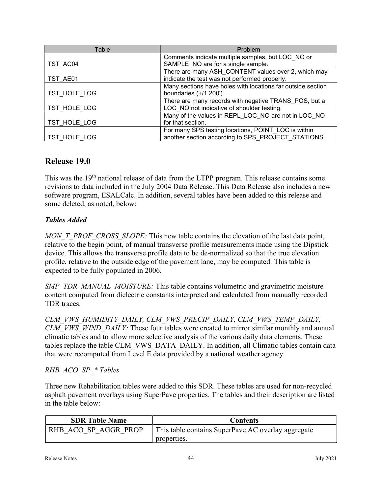| Table        | Problem                                                     |
|--------------|-------------------------------------------------------------|
|              | Comments indicate multiple samples, but LOC NO or           |
| TST AC04     | SAMPLE NO are for a single sample.                          |
|              | There are many ASH CONTENT values over 2, which may         |
| TST AE01     | indicate the test was not performed properly.               |
|              | Many sections have holes with locations far outside section |
| TST HOLE LOG | boundaries $(+/1 200')$ .                                   |
|              | There are many records with negative TRANS_POS, but a       |
| TST HOLE LOG | LOC NO not indicative of shoulder testing.                  |
|              | Many of the values in REPL LOC NO are not in LOC NO         |
| TST HOLE LOG | for that section.                                           |
|              | For many SPS testing locations, POINT_LOC is within         |
| TST HOLE LOG | another section according to SPS PROJECT STATIONS.          |

# Release 19.0

This was the 19<sup>th</sup> national release of data from the LTPP program. This release contains some revisions to data included in the July 2004 Data Release. This Data Release also includes a new software program, ESALCalc. In addition, several tables have been added to this release and some deleted, as noted, below:

# Tables Added

MON T\_PROF\_CROSS\_SLOPE: This new table contains the elevation of the last data point, relative to the begin point, of manual transverse profile measurements made using the Dipstick device. This allows the transverse profile data to be de-normalized so that the true elevation profile, relative to the outside edge of the pavement lane, may be computed. This table is expected to be fully populated in 2006.

SMP\_TDR\_MANUAL\_MOISTURE: This table contains volumetric and gravimetric moisture content computed from dielectric constants interpreted and calculated from manually recorded TDR traces.

CLM\_VWS\_HUMIDITY\_DAILY, CLM\_VWS\_PRECIP\_DAILY, CLM\_VWS\_TEMP\_DAILY, CLM\_VWS\_WIND\_DAILY: These four tables were created to mirror similar monthly and annual climatic tables and to allow more selective analysis of the various daily data elements. These tables replace the table CLM\_VWS\_DATA\_DAILY. In addition, all Climatic tables contain data that were recomputed from Level E data provided by a national weather agency.

# RHB\_ACO\_SP\_\* Tables

Three new Rehabilitation tables were added to this SDR. These tables are used for non-recycled asphalt pavement overlays using SuperPave properties. The tables and their description are listed in the table below:

| <b>SDR Table Name</b> | <b>Contents</b>                                                   |
|-----------------------|-------------------------------------------------------------------|
| RHB ACO SP AGGR PROP  | This table contains SuperPave AC overlay aggregate<br>properties. |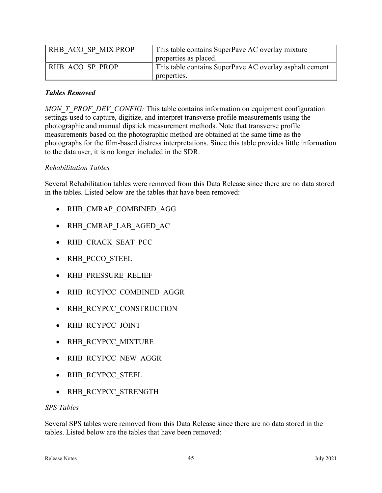| RHB ACO SP MIX PROP | This table contains SuperPave AC overlay mixture        |
|---------------------|---------------------------------------------------------|
|                     | properties as placed.                                   |
| RHB ACO SP PROP     | This table contains SuperPave AC overlay asphalt cement |
|                     | properties.                                             |

### Tables Removed

MON\_T\_PROF\_DEV\_CONFIG: This table contains information on equipment configuration settings used to capture, digitize, and interpret transverse profile measurements using the photographic and manual dipstick measurement methods. Note that transverse profile measurements based on the photographic method are obtained at the same time as the photographs for the film-based distress interpretations. Since this table provides little information to the data user, it is no longer included in the SDR.

### Rehabilitation Tables

Several Rehabilitation tables were removed from this Data Release since there are no data stored in the tables. Listed below are the tables that have been removed:

- RHB CMRAP COMBINED AGG
- RHB CMRAP LAB AGED AC
- RHB CRACK SEAT PCC
- RHB PCCO STEEL
- RHB PRESSURE RELIEF
- RHB RCYPCC COMBINED AGGR
- RHB RCYPCC CONSTRUCTION
- RHB RCYPCC JOINT
- RHB RCYPCC MIXTURE
- RHB RCYPCC NEW AGGR
- RHB RCYPCC STEEL
- RHB RCYPCC STRENGTH

#### SPS Tables

Several SPS tables were removed from this Data Release since there are no data stored in the tables. Listed below are the tables that have been removed: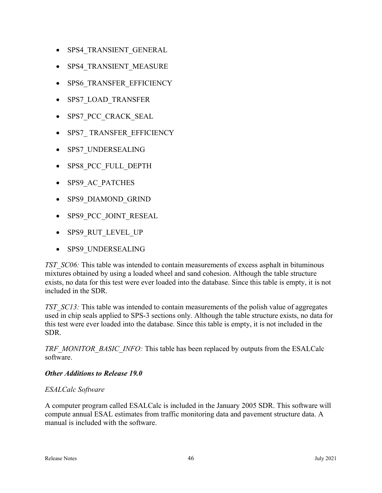- SPS4 TRANSIENT GENERAL
- SPS4 TRANSIENT MEASURE
- SPS6 TRANSFER EFFICIENCY
- SPS7\_LOAD\_TRANSFER
- SPS7\_PCC\_CRACK\_SEAL
- SPS7\_ TRANSFER\_EFFICIENCY
- SPS7\_UNDERSEALING
- SPS8 PCC FULL DEPTH
- SPS9 AC PATCHES
- SPS9\_DIAMOND\_GRIND
- SPS9\_PCC\_JOINT\_RESEAL
- SPS9\_RUT\_LEVEL\_UP
- SPS9 UNDERSEALING

TST\_SC06: This table was intended to contain measurements of excess asphalt in bituminous mixtures obtained by using a loaded wheel and sand cohesion. Although the table structure exists, no data for this test were ever loaded into the database. Since this table is empty, it is not included in the SDR.

TST SC13: This table was intended to contain measurements of the polish value of aggregates used in chip seals applied to SPS-3 sections only. Although the table structure exists, no data for this test were ever loaded into the database. Since this table is empty, it is not included in the SDR.

TRF\_MONITOR\_BASIC\_INFO: This table has been replaced by outputs from the ESALCalc software.

#### Other Additions to Release 19.0

#### ESALCalc Software

A computer program called ESALCalc is included in the January 2005 SDR. This software will compute annual ESAL estimates from traffic monitoring data and pavement structure data. A manual is included with the software.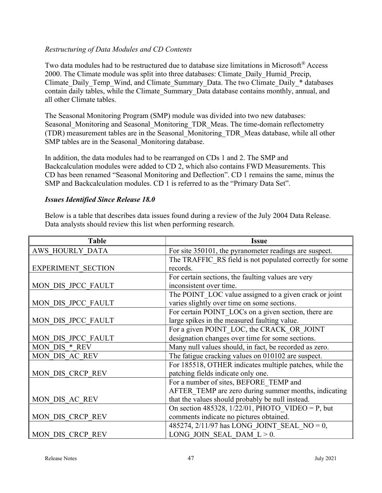#### Restructuring of Data Modules and CD Contents

Two data modules had to be restructured due to database size limitations in Microsoft® Access 2000. The Climate module was split into three databases: Climate\_Daily\_Humid\_Precip, Climate Daily Temp\_Wind, and Climate Summary Data. The two Climate Daily \* databases contain daily tables, while the Climate\_Summary\_Data database contains monthly, annual, and all other Climate tables.

The Seasonal Monitoring Program (SMP) module was divided into two new databases: Seasonal Monitoring and Seasonal Monitoring TDR Meas. The time-domain reflectometry (TDR) measurement tables are in the Seasonal\_Monitoring\_TDR\_Meas database, while all other SMP tables are in the Seasonal Monitoring database.

In addition, the data modules had to be rearranged on CDs 1 and 2. The SMP and Backcalculation modules were added to CD 2, which also contains FWD Measurements. This CD has been renamed "Seasonal Monitoring and Deflection". CD 1 remains the same, minus the SMP and Backcalculation modules. CD 1 is referred to as the "Primary Data Set".

#### Issues Identified Since Release 18.0

Below is a table that describes data issues found during a review of the July 2004 Data Release. Data analysts should review this list when performing research.

| <b>Table</b>              | <b>Issue</b>                                             |
|---------------------------|----------------------------------------------------------|
| AWS HOURLY DATA           | For site 350101, the pyranometer readings are suspect.   |
|                           | The TRAFFIC RS field is not populated correctly for some |
| <b>EXPERIMENT SECTION</b> | records.                                                 |
|                           | For certain sections, the faulting values are very       |
| MON DIS JPCC FAULT        | inconsistent over time.                                  |
|                           | The POINT LOC value assigned to a given crack or joint   |
| MON DIS JPCC FAULT        | varies slightly over time on some sections.              |
|                           | For certain POINT LOCs on a given section, there are     |
| MON DIS JPCC FAULT        | large spikes in the measured faulting value.             |
|                           | For a given POINT LOC, the CRACK OR JOINT                |
| MON DIS JPCC FAULT        | designation changes over time for some sections.         |
| MON DIS * REV             | Many null values should, in fact, be recorded as zero.   |
| MON DIS AC REV            | The fatigue cracking values on 010102 are suspect.       |
|                           | For 185518, OTHER indicates multiple patches, while the  |
| MON DIS CRCP REV          | patching fields indicate only one.                       |
|                           | For a number of sites, BEFORE TEMP and                   |
|                           | AFTER TEMP are zero during summer months, indicating     |
| MON DIS AC REV            | that the values should probably be null instead.         |
|                           | On section 485328, $1/22/01$ , PHOTO VIDEO = P, but      |
| MON DIS CRCP REV          | comments indicate no pictures obtained.                  |
|                           | 485274, $2/11/97$ has LONG JOINT SEAL NO = 0,            |
| MON DIS CRCP REV          | LONG JOIN SEAL DAM $L > 0$ .                             |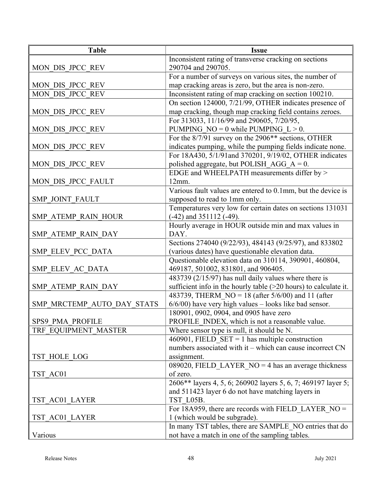| <b>Table</b>               | <b>Issue</b>                                                       |
|----------------------------|--------------------------------------------------------------------|
|                            | Inconsistent rating of transverse cracking on sections             |
| MON DIS JPCC REV           | 290704 and 290705.                                                 |
|                            | For a number of surveys on various sites, the number of            |
| MON DIS JPCC REV           | map cracking areas is zero, but the area is non-zero.              |
| MON DIS JPCC REV           | Inconsistent rating of map cracking on section 100210.             |
|                            | On section 124000, 7/21/99, OTHER indicates presence of            |
| MON DIS JPCC REV           | map cracking, though map cracking field contains zeroes.           |
|                            | For 313033, 11/16/99 and 290605, 7/20/95,                          |
| MON DIS JPCC REV           | PUMPING $NO = 0$ while PUMPING $L > 0$ .                           |
|                            | For the 8/7/91 survey on the 2906 <sup>**</sup> sections, OTHER    |
| MON DIS JPCC REV           | indicates pumping, while the pumping fields indicate none.         |
|                            | For 18A430, 5/1/91and 370201, 9/19/02, OTHER indicates             |
| MON DIS JPCC REV           | polished aggregate, but POLISH_AGG_A = $0$ .                       |
|                            | EDGE and WHEELPATH measurements differ by >                        |
| MON DIS JPCC FAULT         | 12mm.                                                              |
|                            | Various fault values are entered to 0.1mm, but the device is       |
| SMP JOINT FAULT            | supposed to read to 1mm only.                                      |
|                            | Temperatures very low for certain dates on sections 131031         |
| SMP ATEMP RAIN HOUR        | (-42) and 351112 (-49).                                            |
|                            | Hourly average in HOUR outside min and max values in               |
| SMP ATEMP RAIN DAY         | DAY.                                                               |
|                            | Sections 274040 (9/22/93), 484143 (9/25/97), and 833802            |
| SMP ELEV PCC DATA          | (various dates) have questionable elevation data.                  |
|                            | Questionable elevation data on 310114, 390901, 460804,             |
| SMP ELEV AC DATA           | 469187, 501002, 831801, and 906405.                                |
|                            | 483739 (2/15/97) has null daily values where there is              |
| SMP ATEMP RAIN DAY         | sufficient info in the hourly table $(>20$ hours) to calculate it. |
|                            | 483739, THERM NO = 18 (after $5/6/00$ ) and 11 (after              |
| SMP MRCTEMP AUTO DAY STATS | $6/6/00$ ) have very high values - looks like bad sensor.          |
|                            | 180901, 0902, 0904, and 0905 have zero                             |
| SPS9 PMA PROFILE           | PROFILE INDEX, which is not a reasonable value.                    |
| TRF EQUIPMENT MASTER       | Where sensor type is null, it should be N.                         |
|                            | 460901, FIELD_SET = 1 has multiple construction                    |
|                            | numbers associated with it – which can cause incorrect CN          |
| TST HOLE LOG               | assignment.                                                        |
|                            | 089020, FIELD LAYER $NO = 4$ has an average thickness              |
| TST AC01                   | of zero.                                                           |
|                            | 2606** layers 4, 5, 6; 260902 layers 5, 6, 7; 469197 layer 5;      |
|                            | and 511423 layer 6 do not have matching layers in                  |
| TST AC01 LAYER             | TST L05B.                                                          |
|                            | For 18A959, there are records with FIELD_LAYER_NO =                |
| TST AC01 LAYER             | 1 (which would be subgrade).                                       |
|                            | In many TST tables, there are SAMPLE NO entries that do            |
| Various                    | not have a match in one of the sampling tables.                    |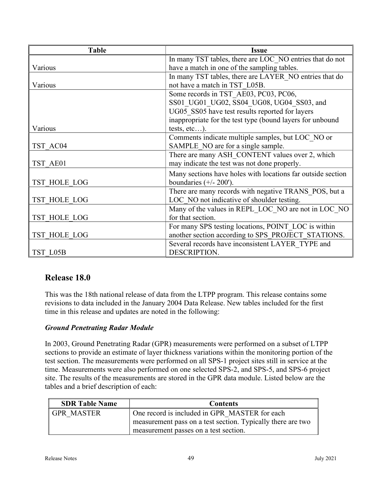| <b>Table</b> | <b>Issue</b>                                                |
|--------------|-------------------------------------------------------------|
|              | In many TST tables, there are LOC NO entries that do not    |
| Various      | have a match in one of the sampling tables.                 |
|              | In many TST tables, there are LAYER NO entries that do      |
| Various      | not have a match in TST L05B.                               |
|              | Some records in TST AE03, PC03, PC06,                       |
|              | SS01 UG01 UG02, SS04 UG08, UG04 SS03, and                   |
|              | UG05 SS05 have test results reported for layers             |
|              | inappropriate for the test type (bound layers for unbound   |
| Various      | tests, $etc$ ).                                             |
|              | Comments indicate multiple samples, but LOC NO or           |
| TST AC04     | SAMPLE NO are for a single sample.                          |
|              | There are many ASH_CONTENT values over 2, which             |
| TST AE01     | may indicate the test was not done properly.                |
|              | Many sections have holes with locations far outside section |
| TST HOLE LOG | boundaries $(+/- 200')$ .                                   |
|              | There are many records with negative TRANS POS, but a       |
| TST HOLE LOG | LOC NO not indicative of shoulder testing.                  |
|              | Many of the values in REPL LOC NO are not in LOC NO         |
| TST HOLE LOG | for that section.                                           |
|              | For many SPS testing locations, POINT LOC is within         |
| TST HOLE LOG | another section according to SPS PROJECT STATIONS.          |
|              | Several records have inconsistent LAYER TYPE and            |
| TST L05B     | DESCRIPTION.                                                |

# Release 18.0

This was the 18th national release of data from the LTPP program. This release contains some revisions to data included in the January 2004 Data Release. New tables included for the first time in this release and updates are noted in the following:

### Ground Penetrating Radar Module

In 2003, Ground Penetrating Radar (GPR) measurements were performed on a subset of LTPP sections to provide an estimate of layer thickness variations within the monitoring portion of the test section. The measurements were performed on all SPS-1 project sites still in service at the time. Measurements were also performed on one selected SPS-2, and SPS-5, and SPS-6 project site. The results of the measurements are stored in the GPR data module. Listed below are the tables and a brief description of each:

| <b>SDR Table Name</b> | <b>Contents</b>                                             |
|-----------------------|-------------------------------------------------------------|
| GPR MASTER            | One record is included in GPR MASTER for each               |
|                       | measurement pass on a test section. Typically there are two |
|                       | measurement passes on a test section.                       |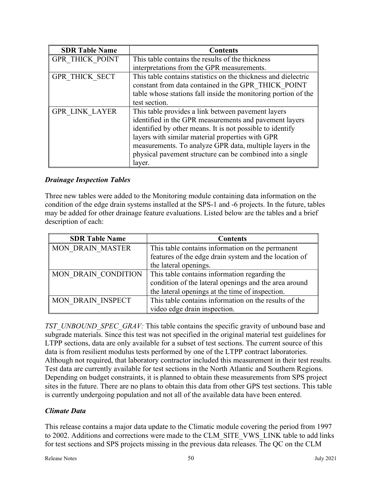| <b>SDR Table Name</b>  | <b>Contents</b>                                                                                                                                                                                                                                                                                                                                                   |
|------------------------|-------------------------------------------------------------------------------------------------------------------------------------------------------------------------------------------------------------------------------------------------------------------------------------------------------------------------------------------------------------------|
| <b>GPR THICK POINT</b> | This table contains the results of the thickness                                                                                                                                                                                                                                                                                                                  |
|                        | interpretations from the GPR measurements.                                                                                                                                                                                                                                                                                                                        |
| GPR THICK SECT         | This table contains statistics on the thickness and dielectric<br>constant from data contained in the GPR THICK POINT<br>table whose stations fall inside the monitoring portion of the                                                                                                                                                                           |
|                        | test section.                                                                                                                                                                                                                                                                                                                                                     |
| <b>GPR LINK LAYER</b>  | This table provides a link between pavement layers<br>identified in the GPR measurements and pavement layers<br>identified by other means. It is not possible to identify<br>layers with similar material properties with GPR<br>measurements. To analyze GPR data, multiple layers in the<br>physical pavement structure can be combined into a single<br>layer. |

#### Drainage Inspection Tables

Three new tables were added to the Monitoring module containing data information on the condition of the edge drain systems installed at the SPS-1 and -6 projects. In the future, tables may be added for other drainage feature evaluations. Listed below are the tables and a brief description of each:

| <b>SDR Table Name</b>   | <b>Contents</b>                                       |
|-------------------------|-------------------------------------------------------|
| <b>MON DRAIN MASTER</b> | This table contains information on the permanent      |
|                         | features of the edge drain system and the location of |
|                         | the lateral openings.                                 |
| MON DRAIN CONDITION     | This table contains information regarding the         |
|                         | condition of the lateral openings and the area around |
|                         | the lateral openings at the time of inspection.       |
| MON DRAIN INSPECT       | This table contains information on the results of the |
|                         | video edge drain inspection.                          |

TST\_UNBOUND\_SPEC\_GRAV: This table contains the specific gravity of unbound base and subgrade materials. Since this test was not specified in the original material test guidelines for LTPP sections, data are only available for a subset of test sections. The current source of this data is from resilient modulus tests performed by one of the LTPP contract laboratories. Although not required, that laboratory contractor included this measurement in their test results. Test data are currently available for test sections in the North Atlantic and Southern Regions. Depending on budget constraints, it is planned to obtain these measurements from SPS project sites in the future. There are no plans to obtain this data from other GPS test sections. This table is currently undergoing population and not all of the available data have been entered.

### Climate Data

This release contains a major data update to the Climatic module covering the period from 1997 to 2002. Additions and corrections were made to the CLM\_SITE\_VWS\_LINK table to add links for test sections and SPS projects missing in the previous data releases. The QC on the CLM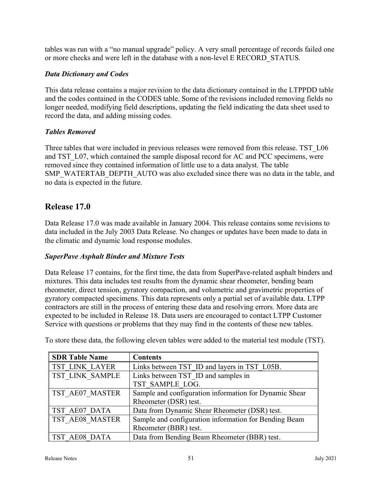tables was run with a "no manual upgrade" policy. A very small percentage of records failed one or more checks and were left in the database with a non-level E RECORD\_STATUS.

### Data Dictionary and Codes

This data release contains a major revision to the data dictionary contained in the LTPPDD table and the codes contained in the CODES table. Some of the revisions included removing fields no longer needed, modifying field descriptions, updating the field indicating the data sheet used to record the data, and adding missing codes.

### Tables Removed

Three tables that were included in previous releases were removed from this release. TST L06 and TST L07, which contained the sample disposal record for AC and PCC specimens, were removed since they contained information of little use to a data analyst. The table SMP\_WATERTAB\_DEPTH\_AUTO was also excluded since there was no data in the table, and no data is expected in the future.

# Release 17.0

Data Release 17.0 was made available in January 2004. This release contains some revisions to data included in the July 2003 Data Release. No changes or updates have been made to data in the climatic and dynamic load response modules.

### SuperPave Asphalt Binder and Mixture Tests

Data Release 17 contains, for the first time, the data from SuperPave-related asphalt binders and mixtures. This data includes test results from the dynamic shear rheometer, bending beam rheometer, direct tension, gyratory compaction, and volumetric and gravimetric properties of gyratory compacted specimens. This data represents only a partial set of available data. LTPP contractors are still in the process of entering these data and resolving errors. More data are expected to be included in Release 18. Data users are encouraged to contact LTPP Customer Service with questions or problems that they may find in the contents of these new tables.

| <b>SDR Table Name</b>  | <b>Contents</b>                                        |
|------------------------|--------------------------------------------------------|
| <b>TST LINK LAYER</b>  | Links between TST ID and layers in TST L05B.           |
| TST LINK SAMPLE        | Links between TST ID and samples in                    |
|                        | TST SAMPLE LOG.                                        |
| TST AE07 MASTER        | Sample and configuration information for Dynamic Shear |
|                        | Rheometer (DSR) test.                                  |
| TST AE07 DATA          | Data from Dynamic Shear Rheometer (DSR) test.          |
| <b>TST AE08 MASTER</b> | Sample and configuration information for Bending Beam  |
|                        | Rheometer (BBR) test.                                  |
| TST AE08 DATA          | Data from Bending Beam Rheometer (BBR) test.           |

To store these data, the following eleven tables were added to the material test module (TST).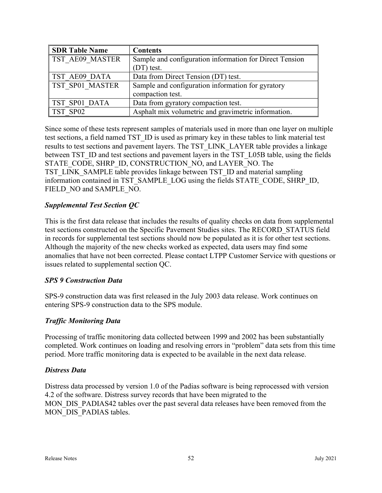| <b>SDR Table Name</b> | <b>Contents</b>                                         |
|-----------------------|---------------------------------------------------------|
| TST AE09 MASTER       | Sample and configuration information for Direct Tension |
|                       | (DT) test.                                              |
| TST AE09 DATA         | Data from Direct Tension (DT) test.                     |
| TST SP01 MASTER       | Sample and configuration information for gyratory       |
|                       | compaction test.                                        |
| TST SP01 DATA         | Data from gyratory compaction test.                     |
| TST SP02              | Asphalt mix volumetric and gravimetric information.     |

Since some of these tests represent samples of materials used in more than one layer on multiple test sections, a field named TST\_ID is used as primary key in these tables to link material test results to test sections and pavement layers. The TST\_LINK\_LAYER table provides a linkage between TST\_ID and test sections and pavement layers in the TST\_L05B table, using the fields STATE\_CODE, SHRP\_ID, CONSTRUCTION\_NO, and LAYER\_NO. The TST\_LINK\_SAMPLE table provides linkage between TST\_ID and material sampling information contained in TST\_SAMPLE\_LOG using the fields STATE\_CODE, SHRP\_ID, FIELD\_NO and SAMPLE\_NO.

### Supplemental Test Section QC

This is the first data release that includes the results of quality checks on data from supplemental test sections constructed on the Specific Pavement Studies sites. The RECORD\_STATUS field in records for supplemental test sections should now be populated as it is for other test sections. Although the majority of the new checks worked as expected, data users may find some anomalies that have not been corrected. Please contact LTPP Customer Service with questions or issues related to supplemental section QC.

### SPS 9 Construction Data

SPS-9 construction data was first released in the July 2003 data release. Work continues on entering SPS-9 construction data to the SPS module.

### Traffic Monitoring Data

Processing of traffic monitoring data collected between 1999 and 2002 has been substantially completed. Work continues on loading and resolving errors in "problem" data sets from this time period. More traffic monitoring data is expected to be available in the next data release.

#### Distress Data

Distress data processed by version 1.0 of the Padias software is being reprocessed with version 4.2 of the software. Distress survey records that have been migrated to the MON DIS PADIAS42 tables over the past several data releases have been removed from the MON DIS PADIAS tables.